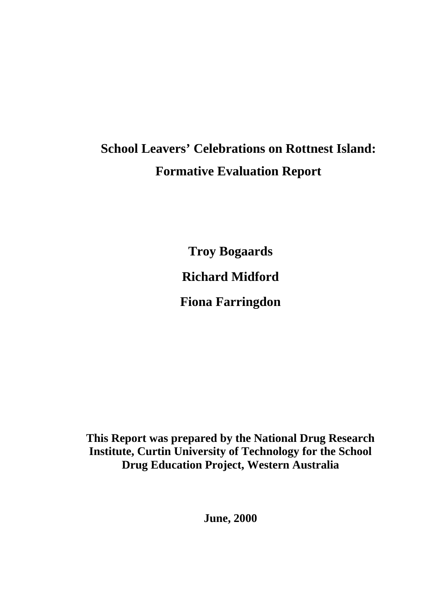# **School Leavers' Celebrations on Rottnest Island: Formative Evaluation Report**

**Troy Bogaards Richard Midford Fiona Farringdon** 

**This Report was prepared by the National Drug Research Institute, Curtin University of Technology for the School Drug Education Project, Western Australia** 

**June, 2000**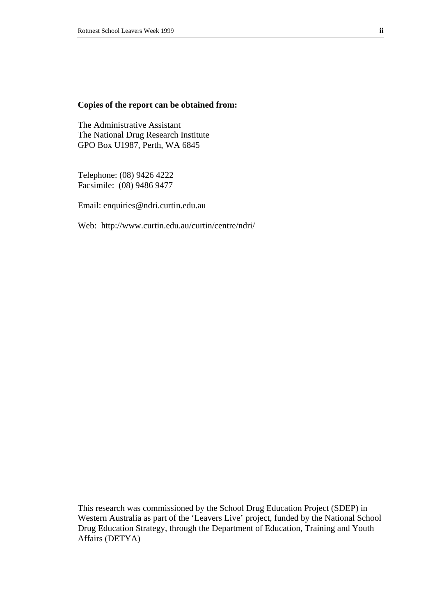#### **Copies of the report can be obtained from:**

The Administrative Assistant The National Drug Research Institute GPO Box U1987, Perth, WA 6845

Telephone: (08) 9426 4222 Facsimile: (08) 9486 9477

Email: enquiries@ndri.curtin.edu.au

Web: http://www.curtin.edu.au/curtin/centre/ndri/

This research was commissioned by the School Drug Education Project (SDEP) in Western Australia as part of the 'Leavers Live' project, funded by the National School Drug Education Strategy, through the Department of Education, Training and Youth Affairs (DETYA)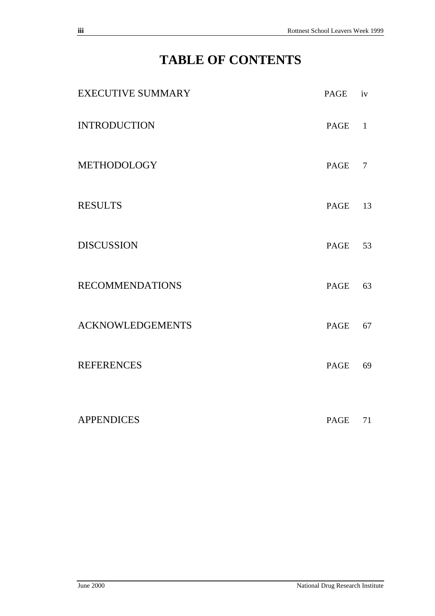## **TABLE OF CONTENTS**

| <b>EXECUTIVE SUMMARY</b> | PAGE        | iv             |
|--------------------------|-------------|----------------|
| <b>INTRODUCTION</b>      | PAGE        | $\mathbf{1}$   |
| <b>METHODOLOGY</b>       | PAGE        | $\overline{7}$ |
| <b>RESULTS</b>           | PAGE        | 13             |
| <b>DISCUSSION</b>        | PAGE        | 53             |
| <b>RECOMMENDATIONS</b>   | PAGE        | 63             |
| <b>ACKNOWLEDGEMENTS</b>  | PAGE        | 67             |
| <b>REFERENCES</b>        | <b>PAGE</b> | 69             |
| <b>APPENDICES</b>        | PAGE        | 71             |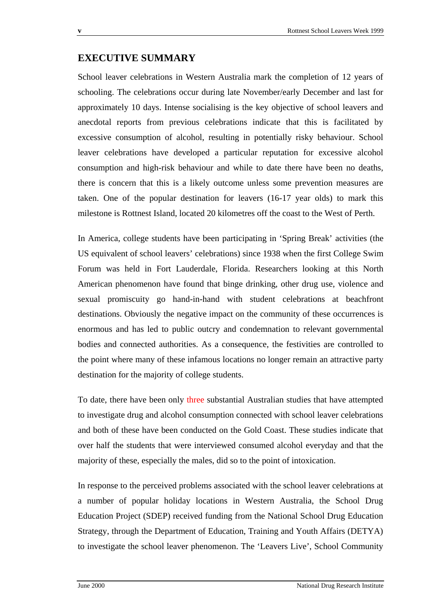## **EXECUTIVE SUMMARY**

School leaver celebrations in Western Australia mark the completion of 12 years of schooling. The celebrations occur during late November/early December and last for approximately 10 days. Intense socialising is the key objective of school leavers and anecdotal reports from previous celebrations indicate that this is facilitated by excessive consumption of alcohol, resulting in potentially risky behaviour. School leaver celebrations have developed a particular reputation for excessive alcohol consumption and high-risk behaviour and while to date there have been no deaths, there is concern that this is a likely outcome unless some prevention measures are taken. One of the popular destination for leavers (16-17 year olds) to mark this milestone is Rottnest Island, located 20 kilometres off the coast to the West of Perth.

In America, college students have been participating in 'Spring Break' activities (the US equivalent of school leavers' celebrations) since 1938 when the first College Swim Forum was held in Fort Lauderdale, Florida. Researchers looking at this North American phenomenon have found that binge drinking, other drug use, violence and sexual promiscuity go hand-in-hand with student celebrations at beachfront destinations. Obviously the negative impact on the community of these occurrences is enormous and has led to public outcry and condemnation to relevant governmental bodies and connected authorities. As a consequence, the festivities are controlled to the point where many of these infamous locations no longer remain an attractive party destination for the majority of college students.

To date, there have been only three substantial Australian studies that have attempted to investigate drug and alcohol consumption connected with school leaver celebrations and both of these have been conducted on the Gold Coast. These studies indicate that over half the students that were interviewed consumed alcohol everyday and that the majority of these, especially the males, did so to the point of intoxication.

In response to the perceived problems associated with the school leaver celebrations at a number of popular holiday locations in Western Australia, the School Drug Education Project (SDEP) received funding from the National School Drug Education Strategy, through the Department of Education, Training and Youth Affairs (DETYA) to investigate the school leaver phenomenon. The 'Leavers Live', School Community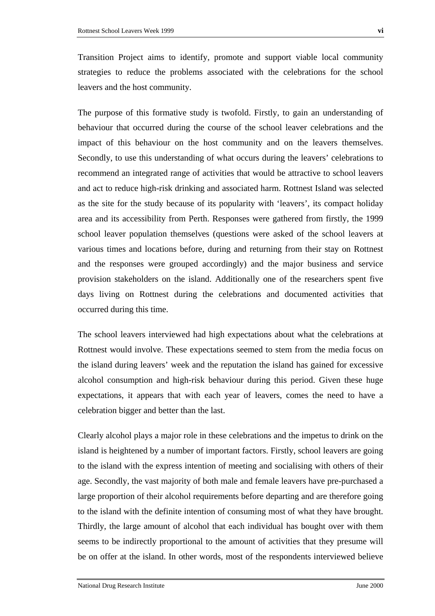Transition Project aims to identify, promote and support viable local community strategies to reduce the problems associated with the celebrations for the school leavers and the host community.

The purpose of this formative study is twofold. Firstly, to gain an understanding of behaviour that occurred during the course of the school leaver celebrations and the impact of this behaviour on the host community and on the leavers themselves. Secondly, to use this understanding of what occurs during the leavers' celebrations to recommend an integrated range of activities that would be attractive to school leavers and act to reduce high-risk drinking and associated harm. Rottnest Island was selected as the site for the study because of its popularity with 'leavers', its compact holiday area and its accessibility from Perth. Responses were gathered from firstly, the 1999 school leaver population themselves (questions were asked of the school leavers at various times and locations before, during and returning from their stay on Rottnest and the responses were grouped accordingly) and the major business and service provision stakeholders on the island. Additionally one of the researchers spent five days living on Rottnest during the celebrations and documented activities that occurred during this time.

The school leavers interviewed had high expectations about what the celebrations at Rottnest would involve. These expectations seemed to stem from the media focus on the island during leavers' week and the reputation the island has gained for excessive alcohol consumption and high-risk behaviour during this period. Given these huge expectations, it appears that with each year of leavers, comes the need to have a celebration bigger and better than the last.

Clearly alcohol plays a major role in these celebrations and the impetus to drink on the island is heightened by a number of important factors. Firstly, school leavers are going to the island with the express intention of meeting and socialising with others of their age. Secondly, the vast majority of both male and female leavers have pre-purchased a large proportion of their alcohol requirements before departing and are therefore going to the island with the definite intention of consuming most of what they have brought. Thirdly, the large amount of alcohol that each individual has bought over with them seems to be indirectly proportional to the amount of activities that they presume will be on offer at the island. In other words, most of the respondents interviewed believe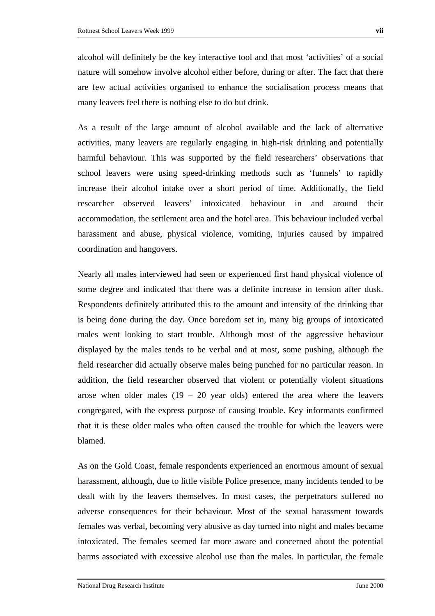many leavers feel there is nothing else to do but drink.

alcohol will definitely be the key interactive tool and that most 'activities' of a social nature will somehow involve alcohol either before, during or after. The fact that there are few actual activities organised to enhance the socialisation process means that

As a result of the large amount of alcohol available and the lack of alternative activities, many leavers are regularly engaging in high-risk drinking and potentially harmful behaviour. This was supported by the field researchers' observations that school leavers were using speed-drinking methods such as 'funnels' to rapidly increase their alcohol intake over a short period of time. Additionally, the field researcher observed leavers' intoxicated behaviour in and around their accommodation, the settlement area and the hotel area. This behaviour included verbal harassment and abuse, physical violence, vomiting, injuries caused by impaired coordination and hangovers.

Nearly all males interviewed had seen or experienced first hand physical violence of some degree and indicated that there was a definite increase in tension after dusk. Respondents definitely attributed this to the amount and intensity of the drinking that is being done during the day. Once boredom set in, many big groups of intoxicated males went looking to start trouble. Although most of the aggressive behaviour displayed by the males tends to be verbal and at most, some pushing, although the field researcher did actually observe males being punched for no particular reason. In addition, the field researcher observed that violent or potentially violent situations arose when older males  $(19 - 20$  year olds) entered the area where the leavers congregated, with the express purpose of causing trouble. Key informants confirmed that it is these older males who often caused the trouble for which the leavers were blamed.

As on the Gold Coast, female respondents experienced an enormous amount of sexual harassment, although, due to little visible Police presence, many incidents tended to be dealt with by the leavers themselves. In most cases, the perpetrators suffered no adverse consequences for their behaviour. Most of the sexual harassment towards females was verbal, becoming very abusive as day turned into night and males became intoxicated. The females seemed far more aware and concerned about the potential harms associated with excessive alcohol use than the males. In particular, the female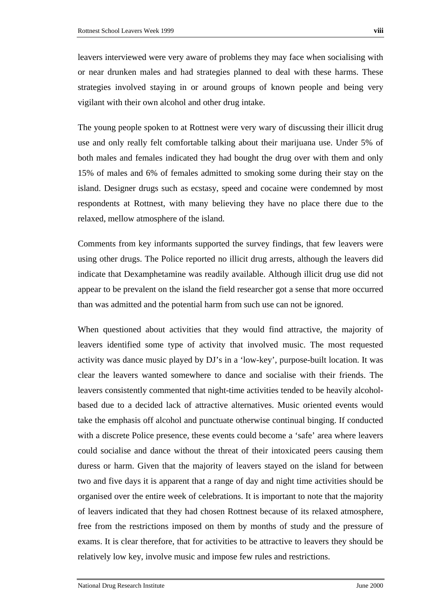leavers interviewed were very aware of problems they may face when socialising with or near drunken males and had strategies planned to deal with these harms. These strategies involved staying in or around groups of known people and being very vigilant with their own alcohol and other drug intake.

The young people spoken to at Rottnest were very wary of discussing their illicit drug use and only really felt comfortable talking about their marijuana use. Under 5% of both males and females indicated they had bought the drug over with them and only 15% of males and 6% of females admitted to smoking some during their stay on the island. Designer drugs such as ecstasy, speed and cocaine were condemned by most respondents at Rottnest, with many believing they have no place there due to the relaxed, mellow atmosphere of the island.

Comments from key informants supported the survey findings, that few leavers were using other drugs. The Police reported no illicit drug arrests, although the leavers did indicate that Dexamphetamine was readily available. Although illicit drug use did not appear to be prevalent on the island the field researcher got a sense that more occurred than was admitted and the potential harm from such use can not be ignored.

When questioned about activities that they would find attractive, the majority of leavers identified some type of activity that involved music. The most requested activity was dance music played by DJ's in a 'low-key', purpose-built location. It was clear the leavers wanted somewhere to dance and socialise with their friends. The leavers consistently commented that night-time activities tended to be heavily alcoholbased due to a decided lack of attractive alternatives. Music oriented events would take the emphasis off alcohol and punctuate otherwise continual binging. If conducted with a discrete Police presence, these events could become a 'safe' area where leavers could socialise and dance without the threat of their intoxicated peers causing them duress or harm. Given that the majority of leavers stayed on the island for between two and five days it is apparent that a range of day and night time activities should be organised over the entire week of celebrations. It is important to note that the majority of leavers indicated that they had chosen Rottnest because of its relaxed atmosphere, free from the restrictions imposed on them by months of study and the pressure of exams. It is clear therefore, that for activities to be attractive to leavers they should be relatively low key, involve music and impose few rules and restrictions.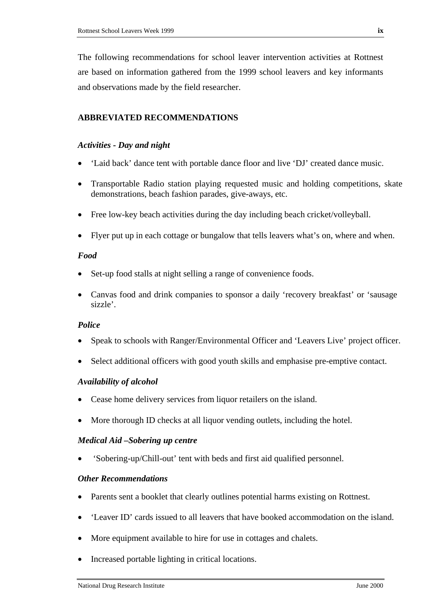The following recommendations for school leaver intervention activities at Rottnest are based on information gathered from the 1999 school leavers and key informants and observations made by the field researcher.

#### **ABBREVIATED RECOMMENDATIONS**

#### *Activities - Day and night*

- 'Laid back' dance tent with portable dance floor and live 'DJ' created dance music.
- Transportable Radio station playing requested music and holding competitions, skate demonstrations, beach fashion parades, give-aways, etc.
- Free low-key beach activities during the day including beach cricket/volleyball.
- Flyer put up in each cottage or bungalow that tells leavers what's on, where and when.

#### *Food*

- Set-up food stalls at night selling a range of convenience foods.
- Canvas food and drink companies to sponsor a daily 'recovery breakfast' or 'sausage sizzle'.

#### *Police*

- Speak to schools with Ranger/Environmental Officer and 'Leavers Live' project officer.
- Select additional officers with good youth skills and emphasise pre-emptive contact.

#### *Availability of alcohol*

- Cease home delivery services from liquor retailers on the island.
- More thorough ID checks at all liquor vending outlets, including the hotel.

#### *Medical Aid –Sobering up centre*

• 'Sobering-up/Chill-out' tent with beds and first aid qualified personnel.

#### *Other Recommendations*

- Parents sent a booklet that clearly outlines potential harms existing on Rottnest.
- 'Leaver ID' cards issued to all leavers that have booked accommodation on the island.
- More equipment available to hire for use in cottages and chalets.
- Increased portable lighting in critical locations.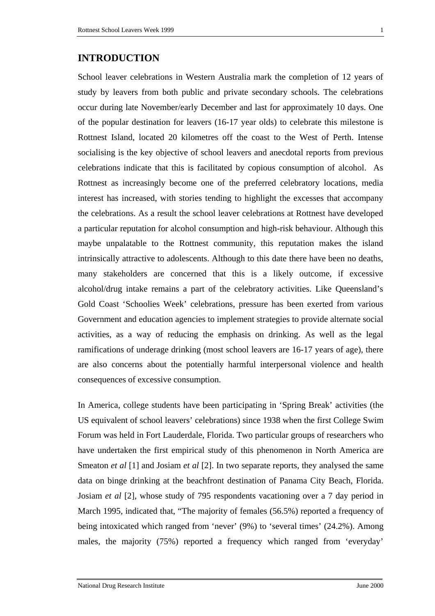#### **INTRODUCTION**

School leaver celebrations in Western Australia mark the completion of 12 years of study by leavers from both public and private secondary schools. The celebrations occur during late November/early December and last for approximately 10 days. One of the popular destination for leavers (16-17 year olds) to celebrate this milestone is Rottnest Island, located 20 kilometres off the coast to the West of Perth. Intense socialising is the key objective of school leavers and anecdotal reports from previous celebrations indicate that this is facilitated by copious consumption of alcohol. As Rottnest as increasingly become one of the preferred celebratory locations, media interest has increased, with stories tending to highlight the excesses that accompany the celebrations. As a result the school leaver celebrations at Rottnest have developed a particular reputation for alcohol consumption and high-risk behaviour. Although this maybe unpalatable to the Rottnest community, this reputation makes the island intrinsically attractive to adolescents. Although to this date there have been no deaths, many stakeholders are concerned that this is a likely outcome, if excessive alcohol/drug intake remains a part of the celebratory activities. Like Queensland's Gold Coast 'Schoolies Week' celebrations, pressure has been exerted from various Government and education agencies to implement strategies to provide alternate social activities, as a way of reducing the emphasis on drinking. As well as the legal ramifications of underage drinking (most school leavers are 16-17 years of age), there are also concerns about the potentially harmful interpersonal violence and health consequences of excessive consumption.

In America, college students have been participating in 'Spring Break' activities (the US equivalent of school leavers' celebrations) since 1938 when the first College Swim Forum was held in Fort Lauderdale, Florida. Two particular groups of researchers who have undertaken the first empirical study of this phenomenon in North America are Smeaton *et al* [1] and Josiam *et al* [2]. In two separate reports, they analysed the same data on binge drinking at the beachfront destination of Panama City Beach, Florida. Josiam *et al* [2], whose study of 795 respondents vacationing over a 7 day period in March 1995, indicated that, "The majority of females (56.5%) reported a frequency of being intoxicated which ranged from 'never' (9%) to 'several times' (24.2%). Among males, the majority (75%) reported a frequency which ranged from 'everyday'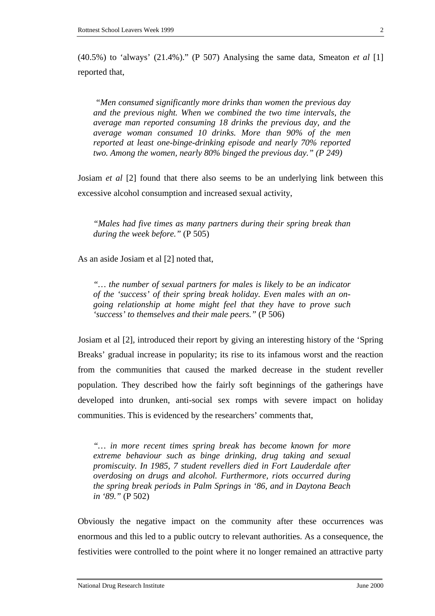(40.5%) to 'always' (21.4%)." (P 507) Analysing the same data, Smeaton *et al* [1] reported that,

*"Men consumed significantly more drinks than women the previous day and the previous night. When we combined the two time intervals, the average man reported consuming 18 drinks the previous day, and the average woman consumed 10 drinks. More than 90% of the men reported at least one-binge-drinking episode and nearly 70% reported two. Among the women, nearly 80% binged the previous day." (P 249)* 

Josiam *et al* [2] found that there also seems to be an underlying link between this excessive alcohol consumption and increased sexual activity,

*"Males had five times as many partners during their spring break than during the week before."* (P 505)

As an aside Josiam et al [2] noted that,

*"… the number of sexual partners for males is likely to be an indicator of the 'success' of their spring break holiday. Even males with an ongoing relationship at home might feel that they have to prove such 'success' to themselves and their male peers."* (P 506)

Josiam et al [2], introduced their report by giving an interesting history of the 'Spring Breaks' gradual increase in popularity; its rise to its infamous worst and the reaction from the communities that caused the marked decrease in the student reveller population. They described how the fairly soft beginnings of the gatherings have developed into drunken, anti-social sex romps with severe impact on holiday communities. This is evidenced by the researchers' comments that,

*"… in more recent times spring break has become known for more extreme behaviour such as binge drinking, drug taking and sexual promiscuity. In 1985, 7 student revellers died in Fort Lauderdale after overdosing on drugs and alcohol. Furthermore, riots occurred during the spring break periods in Palm Springs in '86, and in Daytona Beach in '89."* (P 502)

Obviously the negative impact on the community after these occurrences was enormous and this led to a public outcry to relevant authorities. As a consequence, the festivities were controlled to the point where it no longer remained an attractive party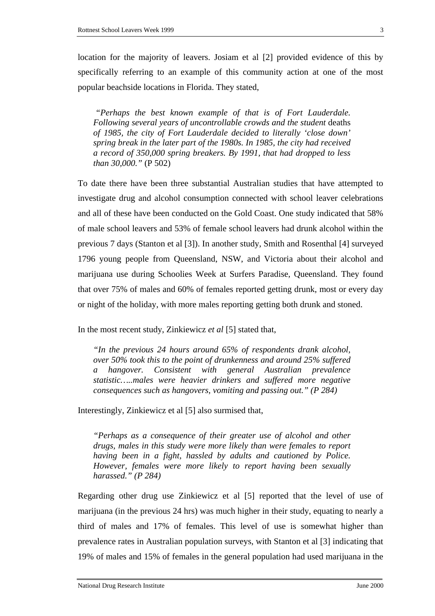location for the majority of leavers. Josiam et al [2] provided evidence of this by specifically referring to an example of this community action at one of the most popular beachside locations in Florida. They stated,

*"Perhaps the best known example of that is of Fort Lauderdale. Following several years of uncontrollable crowds and the student* deaths *of 1985, the city of Fort Lauderdale decided to literally 'close down' spring break in the later part of the 1980s. In 1985, the city had received a record of 350,000 spring breakers. By 1991, that had dropped to less than 30,000."* (P 502)

To date there have been three substantial Australian studies that have attempted to investigate drug and alcohol consumption connected with school leaver celebrations and all of these have been conducted on the Gold Coast. One study indicated that 58% of male school leavers and 53% of female school leavers had drunk alcohol within the previous 7 days (Stanton et al [3]). In another study, Smith and Rosenthal [4] surveyed 1796 young people from Queensland, NSW, and Victoria about their alcohol and marijuana use during Schoolies Week at Surfers Paradise, Queensland. They found that over 75% of males and 60% of females reported getting drunk, most or every day or night of the holiday, with more males reporting getting both drunk and stoned.

In the most recent study, Zinkiewicz *et al* [5] stated that,

*"In the previous 24 hours around 65% of respondents drank alcohol, over 50% took this to the point of drunkenness and around 25% suffered a hangover. Consistent with general Australian prevalence statistic…..males were heavier drinkers and suffered more negative consequences such as hangovers, vomiting and passing out." (P 284)* 

Interestingly, Zinkiewicz et al [5] also surmised that,

*"Perhaps as a consequence of their greater use of alcohol and other drugs, males in this study were more likely than were females to report having been in a fight, hassled by adults and cautioned by Police. However, females were more likely to report having been sexually harassed." (P 284)* 

Regarding other drug use Zinkiewicz et al [5] reported that the level of use of marijuana (in the previous 24 hrs) was much higher in their study, equating to nearly a third of males and 17% of females. This level of use is somewhat higher than prevalence rates in Australian population surveys, with Stanton et al [3] indicating that 19% of males and 15% of females in the general population had used marijuana in the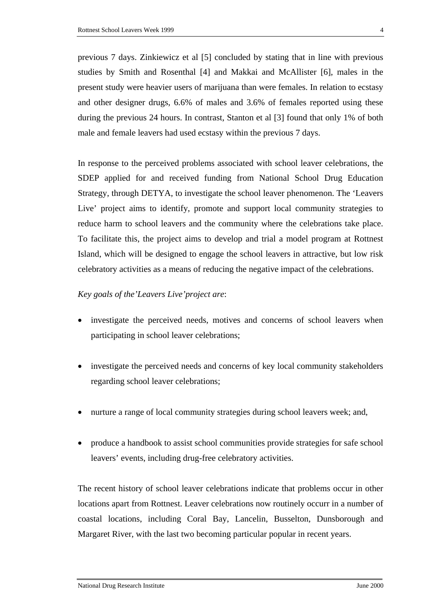previous 7 days. Zinkiewicz et al [5] concluded by stating that in line with previous studies by Smith and Rosenthal [4] and Makkai and McAllister [6], males in the present study were heavier users of marijuana than were females. In relation to ecstasy and other designer drugs, 6.6% of males and 3.6% of females reported using these during the previous 24 hours. In contrast, Stanton et al [3] found that only 1% of both male and female leavers had used ecstasy within the previous 7 days.

In response to the perceived problems associated with school leaver celebrations, the SDEP applied for and received funding from National School Drug Education Strategy, through DETYA, to investigate the school leaver phenomenon. The 'Leavers Live' project aims to identify, promote and support local community strategies to reduce harm to school leavers and the community where the celebrations take place. To facilitate this, the project aims to develop and trial a model program at Rottnest Island, which will be designed to engage the school leavers in attractive, but low risk celebratory activities as a means of reducing the negative impact of the celebrations.

#### *Key goals of the'Leavers Live'project are*:

- investigate the perceived needs, motives and concerns of school leavers when participating in school leaver celebrations;
- investigate the perceived needs and concerns of key local community stakeholders regarding school leaver celebrations;
- nurture a range of local community strategies during school leavers week; and,
- produce a handbook to assist school communities provide strategies for safe school leavers' events, including drug-free celebratory activities.

The recent history of school leaver celebrations indicate that problems occur in other locations apart from Rottnest. Leaver celebrations now routinely occurr in a number of coastal locations, including Coral Bay, Lancelin, Busselton, Dunsborough and Margaret River, with the last two becoming particular popular in recent years.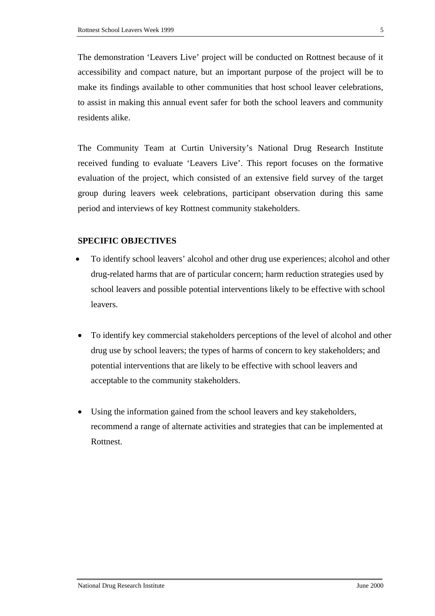The demonstration 'Leavers Live' project will be conducted on Rottnest because of it accessibility and compact nature, but an important purpose of the project will be to make its findings available to other communities that host school leaver celebrations, to assist in making this annual event safer for both the school leavers and community residents alike.

The Community Team at Curtin University's National Drug Research Institute received funding to evaluate 'Leavers Live'. This report focuses on the formative evaluation of the project, which consisted of an extensive field survey of the target group during leavers week celebrations, participant observation during this same period and interviews of key Rottnest community stakeholders.

#### **SPECIFIC OBJECTIVES**

- To identify school leavers' alcohol and other drug use experiences; alcohol and other drug-related harms that are of particular concern; harm reduction strategies used by school leavers and possible potential interventions likely to be effective with school leavers.
- To identify key commercial stakeholders perceptions of the level of alcohol and other drug use by school leavers; the types of harms of concern to key stakeholders; and potential interventions that are likely to be effective with school leavers and acceptable to the community stakeholders.
- Using the information gained from the school leavers and key stakeholders, recommend a range of alternate activities and strategies that can be implemented at Rottnest.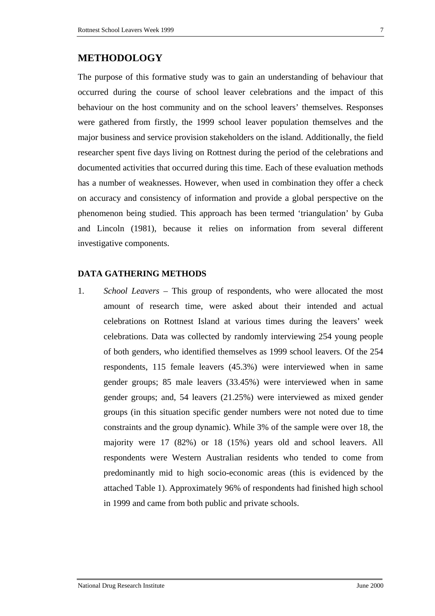The purpose of this formative study was to gain an understanding of behaviour that occurred during the course of school leaver celebrations and the impact of this behaviour on the host community and on the school leavers' themselves. Responses were gathered from firstly, the 1999 school leaver population themselves and the major business and service provision stakeholders on the island. Additionally, the field researcher spent five days living on Rottnest during the period of the celebrations and documented activities that occurred during this time. Each of these evaluation methods has a number of weaknesses. However, when used in combination they offer a check on accuracy and consistency of information and provide a global perspective on the phenomenon being studied. This approach has been termed 'triangulation' by Guba and Lincoln (1981), because it relies on information from several different investigative components.

#### **DATA GATHERING METHODS**

1. *School Leavers –* This group of respondents, who were allocated the most amount of research time, were asked about their intended and actual celebrations on Rottnest Island at various times during the leavers' week celebrations. Data was collected by randomly interviewing 254 young people of both genders, who identified themselves as 1999 school leavers. Of the 254 respondents, 115 female leavers (45.3%) were interviewed when in same gender groups; 85 male leavers (33.45%) were interviewed when in same gender groups; and, 54 leavers (21.25%) were interviewed as mixed gender groups (in this situation specific gender numbers were not noted due to time constraints and the group dynamic). While 3% of the sample were over 18, the majority were 17 (82%) or 18 (15%) years old and school leavers. All respondents were Western Australian residents who tended to come from predominantly mid to high socio-economic areas (this is evidenced by the attached Table 1). Approximately 96% of respondents had finished high school in 1999 and came from both public and private schools.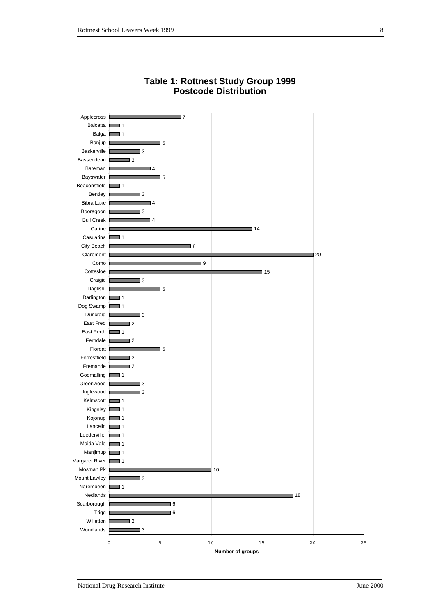

#### **Table 1: Rottnest Study Group 1999 Postcode Distribution**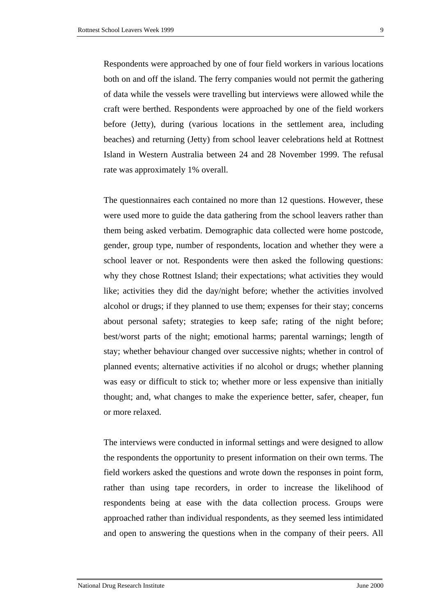Respondents were approached by one of four field workers in various locations both on and off the island. The ferry companies would not permit the gathering of data while the vessels were travelling but interviews were allowed while the craft were berthed. Respondents were approached by one of the field workers before (Jetty), during (various locations in the settlement area, including beaches) and returning (Jetty) from school leaver celebrations held at Rottnest Island in Western Australia between 24 and 28 November 1999. The refusal rate was approximately 1% overall.

The questionnaires each contained no more than 12 questions. However, these were used more to guide the data gathering from the school leavers rather than them being asked verbatim. Demographic data collected were home postcode, gender, group type, number of respondents, location and whether they were a school leaver or not. Respondents were then asked the following questions: why they chose Rottnest Island; their expectations; what activities they would like; activities they did the day/night before; whether the activities involved alcohol or drugs; if they planned to use them; expenses for their stay; concerns about personal safety; strategies to keep safe; rating of the night before; best/worst parts of the night; emotional harms; parental warnings; length of stay; whether behaviour changed over successive nights; whether in control of planned events; alternative activities if no alcohol or drugs; whether planning was easy or difficult to stick to; whether more or less expensive than initially thought; and, what changes to make the experience better, safer, cheaper, fun or more relaxed.

The interviews were conducted in informal settings and were designed to allow the respondents the opportunity to present information on their own terms. The field workers asked the questions and wrote down the responses in point form, rather than using tape recorders, in order to increase the likelihood of respondents being at ease with the data collection process. Groups were approached rather than individual respondents, as they seemed less intimidated and open to answering the questions when in the company of their peers. All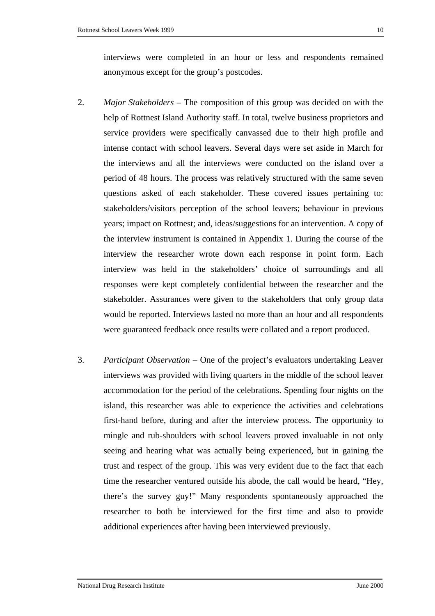interviews were completed in an hour or less and respondents remained anonymous except for the group's postcodes.

- 2. *Major Stakeholders –* The composition of this group was decided on with the help of Rottnest Island Authority staff. In total, twelve business proprietors and service providers were specifically canvassed due to their high profile and intense contact with school leavers. Several days were set aside in March for the interviews and all the interviews were conducted on the island over a period of 48 hours. The process was relatively structured with the same seven questions asked of each stakeholder. These covered issues pertaining to: stakeholders/visitors perception of the school leavers; behaviour in previous years; impact on Rottnest; and, ideas/suggestions for an intervention. A copy of the interview instrument is contained in Appendix 1. During the course of the interview the researcher wrote down each response in point form. Each interview was held in the stakeholders' choice of surroundings and all responses were kept completely confidential between the researcher and the stakeholder. Assurances were given to the stakeholders that only group data would be reported. Interviews lasted no more than an hour and all respondents were guaranteed feedback once results were collated and a report produced.
- 3. *Participant Observation –* One of the project's evaluators undertaking Leaver interviews was provided with living quarters in the middle of the school leaver accommodation for the period of the celebrations. Spending four nights on the island, this researcher was able to experience the activities and celebrations first-hand before, during and after the interview process. The opportunity to mingle and rub-shoulders with school leavers proved invaluable in not only seeing and hearing what was actually being experienced, but in gaining the trust and respect of the group. This was very evident due to the fact that each time the researcher ventured outside his abode, the call would be heard, "Hey, there's the survey guy!" Many respondents spontaneously approached the researcher to both be interviewed for the first time and also to provide additional experiences after having been interviewed previously.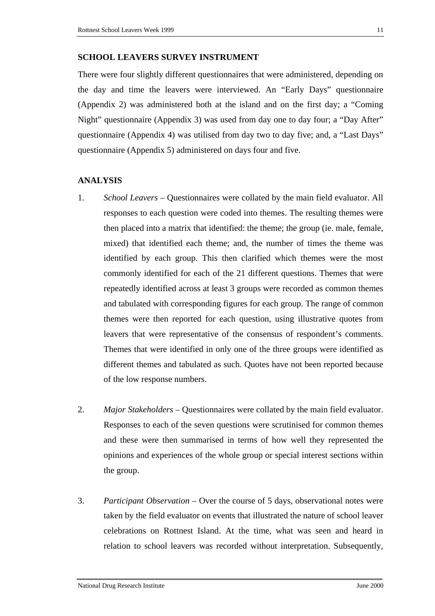#### **SCHOOL LEAVERS SURVEY INSTRUMENT**

There were four slightly different questionnaires that were administered, depending on the day and time the leavers were interviewed. An "Early Days" questionnaire (Appendix 2) was administered both at the island and on the first day; a "Coming Night" questionnaire (Appendix 3) was used from day one to day four; a "Day After" questionnaire (Appendix 4) was utilised from day two to day five; and, a "Last Days" questionnaire (Appendix 5) administered on days four and five.

#### **ANALYSIS**

- 1. *School Leavers –* Questionnaires were collated by the main field evaluator. All responses to each question were coded into themes. The resulting themes were then placed into a matrix that identified: the theme; the group (ie. male, female, mixed) that identified each theme; and, the number of times the theme was identified by each group. This then clarified which themes were the most commonly identified for each of the 21 different questions. Themes that were repeatedly identified across at least 3 groups were recorded as common themes and tabulated with corresponding figures for each group. The range of common themes were then reported for each question, using illustrative quotes from leavers that were representative of the consensus of respondent's comments. Themes that were identified in only one of the three groups were identified as different themes and tabulated as such. Quotes have not been reported because of the low response numbers.
- 2. *Major Stakeholders –* Questionnaires were collated by the main field evaluator. Responses to each of the seven questions were scrutinised for common themes and these were then summarised in terms of how well they represented the opinions and experiences of the whole group or special interest sections within the group.
- 3. *Participant Observation –* Over the course of 5 days, observational notes were taken by the field evaluator on events that illustrated the nature of school leaver celebrations on Rottnest Island. At the time, what was seen and heard in relation to school leavers was recorded without interpretation. Subsequently,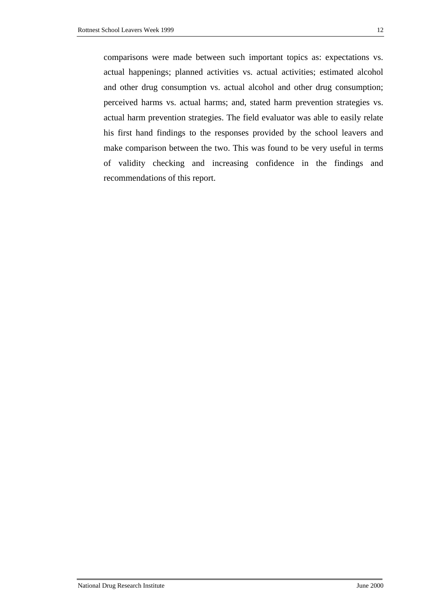comparisons were made between such important topics as: expectations vs. actual happenings; planned activities vs. actual activities; estimated alcohol and other drug consumption vs. actual alcohol and other drug consumption; perceived harms vs. actual harms; and, stated harm prevention strategies vs. actual harm prevention strategies. The field evaluator was able to easily relate his first hand findings to the responses provided by the school leavers and make comparison between the two. This was found to be very useful in terms of validity checking and increasing confidence in the findings and recommendations of this report.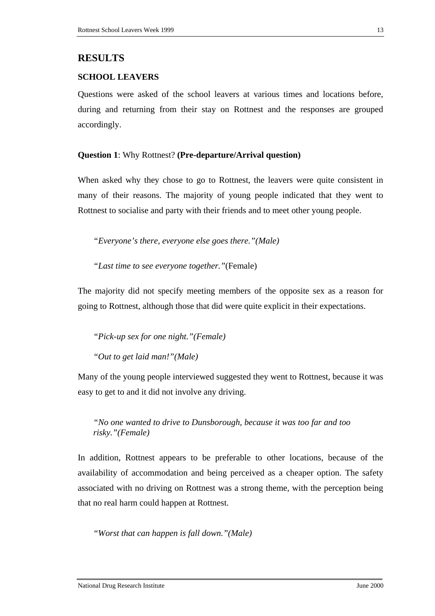#### **RESULTS**

#### **SCHOOL LEAVERS**

Questions were asked of the school leavers at various times and locations before, during and returning from their stay on Rottnest and the responses are grouped accordingly.

#### **Question 1**: Why Rottnest? **(Pre-departure/Arrival question)**

When asked why they chose to go to Rottnest, the leavers were quite consistent in many of their reasons. The majority of young people indicated that they went to Rottnest to socialise and party with their friends and to meet other young people.

*"Everyone's there, everyone else goes there."(Male)*

*"Last time to see everyone together."*(Female)

The majority did not specify meeting members of the opposite sex as a reason for going to Rottnest, although those that did were quite explicit in their expectations.

*"Pick-up sex for one night."(Female)* 

*"Out to get laid man!"(Male)*

Many of the young people interviewed suggested they went to Rottnest, because it was easy to get to and it did not involve any driving.

*"No one wanted to drive to Dunsborough, because it was too far and too risky."(Female)*

In addition, Rottnest appears to be preferable to other locations, because of the availability of accommodation and being perceived as a cheaper option. The safety associated with no driving on Rottnest was a strong theme, with the perception being that no real harm could happen at Rottnest.

*"Worst that can happen is fall down."(Male)*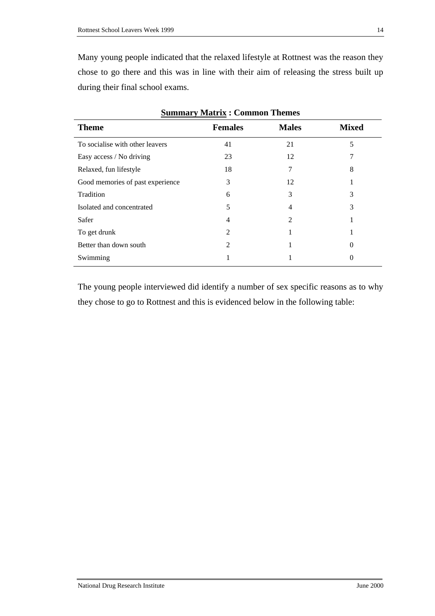Many young people indicated that the relaxed lifestyle at Rottnest was the reason they chose to go there and this was in line with their aim of releasing the stress built up during their final school exams.

| <b>Summary Matrix: Common Themes</b> |                |              |              |  |
|--------------------------------------|----------------|--------------|--------------|--|
| <b>Theme</b>                         | <b>Females</b> | <b>Males</b> | <b>Mixed</b> |  |
| To socialise with other leavers      | 41             | 21           | 5            |  |
| Easy access / No driving             | 23             | 12           |              |  |
| Relaxed, fun lifestyle               | 18             | 7            | 8            |  |
| Good memories of past experience     | 3              | 12           |              |  |
| Tradition                            | 6              | 3            | 3            |  |
| Isolated and concentrated            | 5              | 4            | 3            |  |
| Safer                                | 4              | 2            |              |  |
| To get drunk                         | 2              |              |              |  |
| Better than down south               | 2              |              |              |  |
| Swimming                             |                |              |              |  |

The young people interviewed did identify a number of sex specific reasons as to why they chose to go to Rottnest and this is evidenced below in the following table: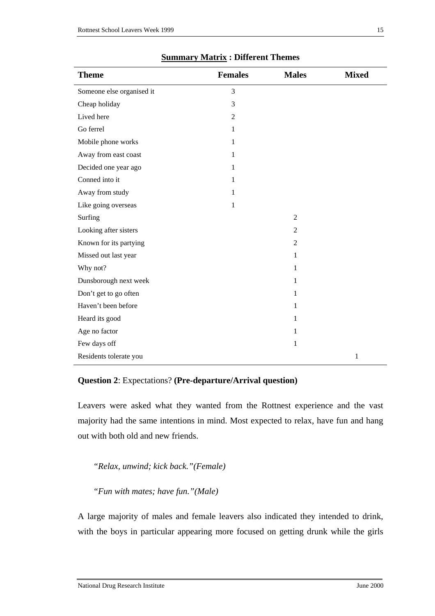| <b>Theme</b>              | <b>Females</b> | <b>Males</b>   | <b>Mixed</b> |
|---------------------------|----------------|----------------|--------------|
| Someone else organised it | 3              |                |              |
| Cheap holiday             | 3              |                |              |
| Lived here                | $\mathfrak{2}$ |                |              |
| Go ferrel                 | 1              |                |              |
| Mobile phone works        | 1              |                |              |
| Away from east coast      | 1              |                |              |
| Decided one year ago      | 1              |                |              |
| Conned into it            | 1              |                |              |
| Away from study           | 1              |                |              |
| Like going overseas       | 1              |                |              |
| Surfing                   |                | $\overline{2}$ |              |
| Looking after sisters     |                | 2              |              |
| Known for its partying    |                | $\overline{2}$ |              |
| Missed out last year      |                | $\mathbf{1}$   |              |
| Why not?                  |                | 1              |              |
| Dunsborough next week     |                | 1              |              |
| Don't get to go often     |                | 1              |              |
| Haven't been before       |                | 1              |              |
| Heard its good            |                | 1              |              |
| Age no factor             |                | $\mathbf{1}$   |              |
| Few days off              |                | $\mathbf{1}$   |              |
| Residents tolerate you    |                |                | 1            |

#### **Summary Matrix : Different Themes**

#### **Question 2**: Expectations? **(Pre-departure/Arrival question)**

Leavers were asked what they wanted from the Rottnest experience and the vast majority had the same intentions in mind. Most expected to relax, have fun and hang out with both old and new friends.

*"Relax, unwind; kick back."(Female)* 

*"Fun with mates; have fun."(Male)*

A large majority of males and female leavers also indicated they intended to drink, with the boys in particular appearing more focused on getting drunk while the girls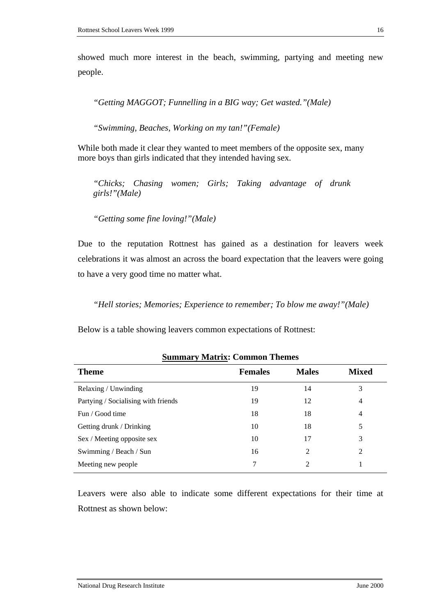showed much more interest in the beach, swimming, partying and meeting new people.

*"Getting MAGGOT; Funnelling in a BIG way; Get wasted."(Male)*

*"Swimming, Beaches, Working on my tan!"(Female)*

While both made it clear they wanted to meet members of the opposite sex, many more boys than girls indicated that they intended having sex.

*"Chicks; Chasing women; Girls; Taking advantage of drunk girls!"(Male)* 

*"Getting some fine loving!"(Male)*

Due to the reputation Rottnest has gained as a destination for leavers week celebrations it was almost an across the board expectation that the leavers were going to have a very good time no matter what.

*"Hell stories; Memories; Experience to remember; To blow me away!"(Male)*

Below is a table showing leavers common expectations of Rottnest:

| <b>Theme</b>                        | <b>Females</b> | <b>Males</b>   | <b>Mixed</b> |
|-------------------------------------|----------------|----------------|--------------|
| Relaxing / Unwinding                | 19             | 14             | 3            |
| Partying / Socialising with friends | 19             | 12             | 4            |
| Fun / Good time                     | 18             | 18             | 4            |
| Getting drunk / Drinking            | 10             | 18             | 5            |
| Sex / Meeting opposite sex          | 10             | 17             | 3            |
| Swimming / Beach / Sun              | 16             | $\mathfrak{D}$ | 2            |
| Meeting new people                  | 7              | $\mathfrak{D}$ |              |

**Summary Matrix: Common Themes** 

Leavers were also able to indicate some different expectations for their time at Rottnest as shown below: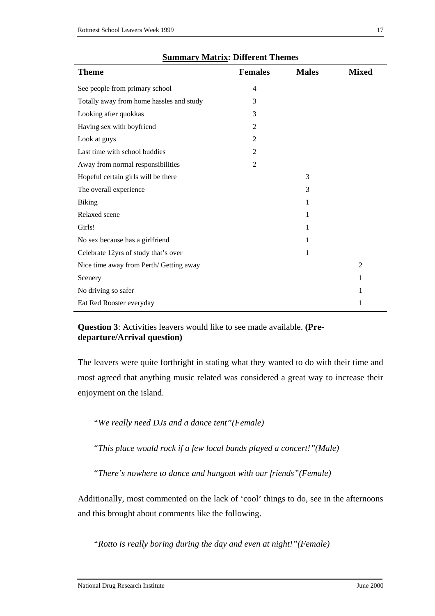| <b>Theme</b>                             | <b>Females</b> | <b>Males</b> | <b>Mixed</b>   |
|------------------------------------------|----------------|--------------|----------------|
| See people from primary school           | $\overline{4}$ |              |                |
| Totally away from home hassles and study | 3              |              |                |
| Looking after quokkas                    | 3              |              |                |
| Having sex with boyfriend                | $\overline{2}$ |              |                |
| Look at guys                             | $\overline{2}$ |              |                |
| Last time with school buddies            | $\overline{2}$ |              |                |
| Away from normal responsibilities        | $\overline{2}$ |              |                |
| Hopeful certain girls will be there      |                | 3            |                |
| The overall experience                   |                | 3            |                |
| <b>Biking</b>                            |                | 1            |                |
| Relaxed scene                            |                | 1            |                |
| Girls!                                   |                | 1            |                |
| No sex because has a girlfriend          |                | 1            |                |
| Celebrate 12yrs of study that's over     |                | 1            |                |
| Nice time away from Perth/ Getting away  |                |              | $\overline{2}$ |
| Scenery                                  |                |              | 1              |
| No driving so safer                      |                |              | 1              |
| Eat Red Rooster everyday                 |                |              | 1              |

#### **Summary Matrix: Different Themes**

**Question 3**: Activities leavers would like to see made available. **(Predeparture/Arrival question)**

The leavers were quite forthright in stating what they wanted to do with their time and most agreed that anything music related was considered a great way to increase their enjoyment on the island.

*"We really need DJs and a dance tent"(Female)* 

*"This place would rock if a few local bands played a concert!"(Male)*

*"There's nowhere to dance and hangout with our friends"(Female)*

Additionally, most commented on the lack of 'cool' things to do, see in the afternoons and this brought about comments like the following.

*"Rotto is really boring during the day and even at night!"(Female)*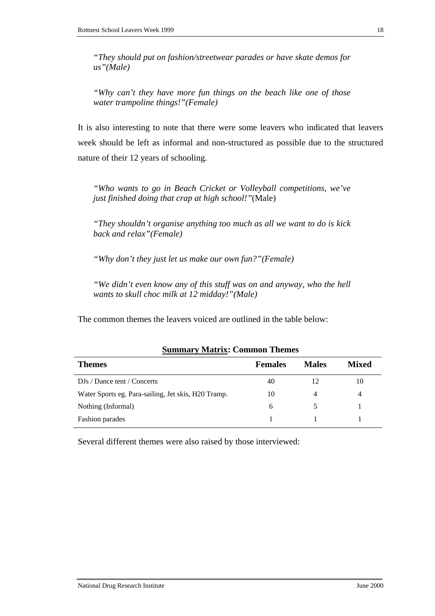*"They should put on fashion/streetwear parades or have skate demos for us"(Male)*

*"Why can't they have more fun things on the beach like one of those water trampoline things!"(Female)*

It is also interesting to note that there were some leavers who indicated that leavers week should be left as informal and non-structured as possible due to the structured nature of their 12 years of schooling.

*"Who wants to go in Beach Cricket or Volleyball competitions, we've just finished doing that crap at high school!"*(Male)

*"They shouldn't organise anything too much as all we want to do is kick back and relax"(Female)* 

*"Why don't they just let us make our own fun?"(Female)*

*"We didn't even know any of this stuff was on and anyway, who the hell wants to skull choc milk at 12 midday!"(Male)*

The common themes the leavers voiced are outlined in the table below:

| <b>Females</b> | <b>Males</b> | Mixed |  |  |
|----------------|--------------|-------|--|--|
| 40             | 12           | 10    |  |  |
| 10             | 4            | 4     |  |  |
| 6              |              |       |  |  |
|                |              |       |  |  |
|                |              |       |  |  |

**Summary Matrix: Common Themes** 

Several different themes were also raised by those interviewed: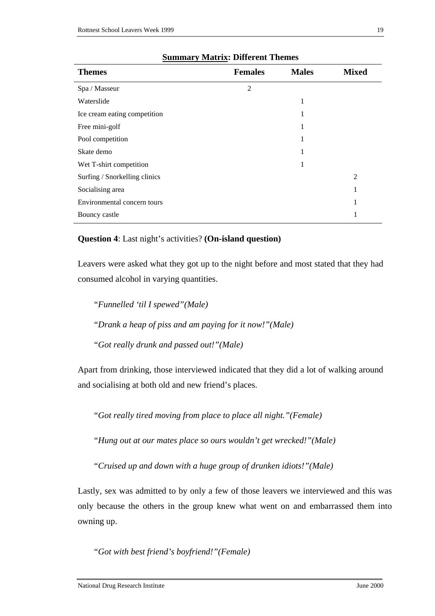| <b>Themes</b>                 | <b>Females</b> | <b>Males</b> | <b>Mixed</b>   |
|-------------------------------|----------------|--------------|----------------|
| Spa / Masseur                 | $\overline{2}$ |              |                |
| Waterslide                    |                | 1            |                |
| Ice cream eating competition  |                | 1            |                |
| Free mini-golf                |                | 1            |                |
| Pool competition              |                |              |                |
| Skate demo                    |                |              |                |
| Wet T-shirt competition       |                | 1            |                |
| Surfing / Snorkelling clinics |                |              | $\overline{2}$ |
| Socialising area              |                |              | 1              |
| Environmental concern tours   |                |              | 1              |
| Bouncy castle                 |                |              |                |

#### **Summary Matrix: Different Themes**

#### **Question 4**: Last night's activities? **(On-island question)**

Leavers were asked what they got up to the night before and most stated that they had consumed alcohol in varying quantities.

*"Funnelled 'til I spewed"(Male) "Drank a heap of piss and am paying for it now!"(Male) "Got really drunk and passed out!"(Male)*

Apart from drinking, those interviewed indicated that they did a lot of walking around and socialising at both old and new friend's places.

*"Got really tired moving from place to place all night."(Female)*

*"Hung out at our mates place so ours wouldn't get wrecked!"(Male)*

*"Cruised up and down with a huge group of drunken idiots!"(Male)*

Lastly, sex was admitted to by only a few of those leavers we interviewed and this was only because the others in the group knew what went on and embarrassed them into owning up.

*"Got with best friend's boyfriend!"(Female)*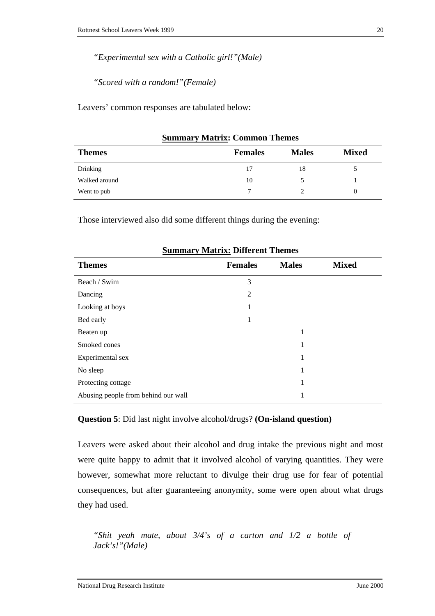*"Experimental sex with a Catholic girl!"(Male)*

*"Scored with a random!"(Female)*

Leavers' common responses are tabulated below:

| <b>Themes</b> | <b>Females</b> | <b>Males</b> | <b>Mixed</b> |
|---------------|----------------|--------------|--------------|
| Drinking      | 17             | 18           |              |
| Walked around | 10             |              |              |
| Went to pub   | ⇁              |              | 0            |

#### **Summary Matrix: Common Themes**

Those interviewed also did some different things during the evening:

| <b>Themes</b>                       | <b>Females</b> | <b>Males</b> | <b>Mixed</b> |
|-------------------------------------|----------------|--------------|--------------|
| Beach / Swim                        | 3              |              |              |
| Dancing                             | 2              |              |              |
| Looking at boys                     | 1              |              |              |
| Bed early                           | 1              |              |              |
| Beaten up                           |                | 1            |              |
| Smoked cones                        |                | 1            |              |
| Experimental sex                    |                | 1            |              |
| No sleep                            |                | 1            |              |
| Protecting cottage                  |                | 1            |              |
| Abusing people from behind our wall |                | 1            |              |

#### **Summary Matrix: Different Themes**

#### **Question 5**: Did last night involve alcohol/drugs? **(On-island question)**

Leavers were asked about their alcohol and drug intake the previous night and most were quite happy to admit that it involved alcohol of varying quantities. They were however, somewhat more reluctant to divulge their drug use for fear of potential consequences, but after guaranteeing anonymity, some were open about what drugs they had used.

*"Shit yeah mate, about 3/4's of a carton and 1/2 a bottle of Jack's!"(Male)*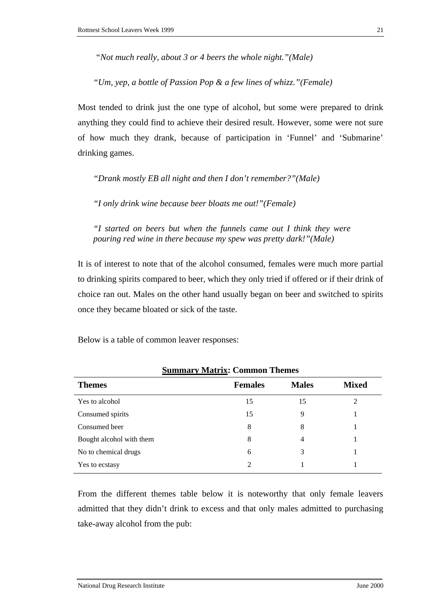*"Not much really, about 3 or 4 beers the whole night."(Male)* 

*"Um, yep, a bottle of Passion Pop & a few lines of whizz."(Female)*

Most tended to drink just the one type of alcohol, but some were prepared to drink anything they could find to achieve their desired result. However, some were not sure of how much they drank, because of participation in 'Funnel' and 'Submarine' drinking games.

*"Drank mostly EB all night and then I don't remember?"(Male)*

*"I only drink wine because beer bloats me out!"(Female)*

*"I started on beers but when the funnels came out I think they were pouring red wine in there because my spew was pretty dark!"(Male)*

It is of interest to note that of the alcohol consumed, females were much more partial to drinking spirits compared to beer, which they only tried if offered or if their drink of choice ran out. Males on the other hand usually began on beer and switched to spirits once they became bloated or sick of the taste.

Below is a table of common leaver responses:

|                          | ----------     |              |                |
|--------------------------|----------------|--------------|----------------|
| <b>Themes</b>            | <b>Females</b> | <b>Males</b> | <b>Mixed</b>   |
| Yes to alcohol           | 15             | 15           | $\mathfrak{D}$ |
| Consumed spirits         | 15             | 9            |                |
| Consumed beer            | 8              | 8            |                |
| Bought alcohol with them | 8              | 4            |                |
| No to chemical drugs     | 6              | 3            |                |
| Yes to ecstasy           | $\mathfrak{D}$ |              |                |

**Summary Matrix: Common Themes** 

From the different themes table below it is noteworthy that only female leavers admitted that they didn't drink to excess and that only males admitted to purchasing take-away alcohol from the pub: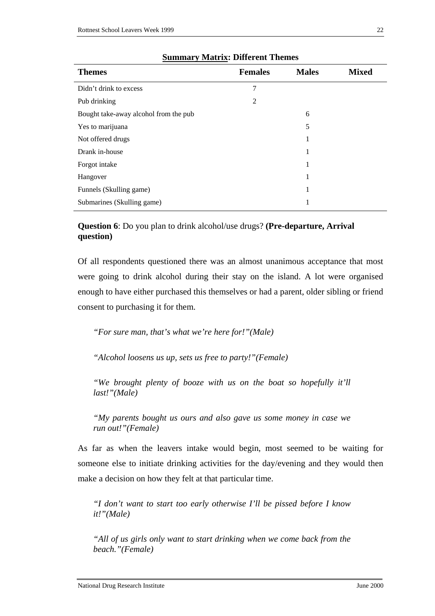| <b>Themes</b>                         | <b>Females</b> | <b>Males</b> | <b>Mixed</b> |
|---------------------------------------|----------------|--------------|--------------|
| Didn't drink to excess                | 7              |              |              |
| Pub drinking                          | 2              |              |              |
| Bought take-away alcohol from the pub |                | 6            |              |
| Yes to marijuana                      |                | 5            |              |
| Not offered drugs                     |                | 1            |              |
| Drank in-house                        |                | 1            |              |
| Forgot intake                         |                | 1            |              |
| Hangover                              |                | 1            |              |
| Funnels (Skulling game)               |                | 1            |              |
| Submarines (Skulling game)            |                | 1            |              |

#### **Summary Matrix: Different Themes**

**Question 6**: Do you plan to drink alcohol/use drugs? **(Pre-departure, Arrival question)**

Of all respondents questioned there was an almost unanimous acceptance that most were going to drink alcohol during their stay on the island. A lot were organised enough to have either purchased this themselves or had a parent, older sibling or friend consent to purchasing it for them.

*"For sure man, that's what we're here for!"(Male)*

*"Alcohol loosens us up, sets us free to party!"(Female)*

*"We brought plenty of booze with us on the boat so hopefully it'll last!"(Male)* 

*"My parents bought us ours and also gave us some money in case we run out!"(Female)*

As far as when the leavers intake would begin, most seemed to be waiting for someone else to initiate drinking activities for the day/evening and they would then make a decision on how they felt at that particular time.

*"I don't want to start too early otherwise I'll be pissed before I know it!"(Male)*

*"All of us girls only want to start drinking when we come back from the beach."(Female)*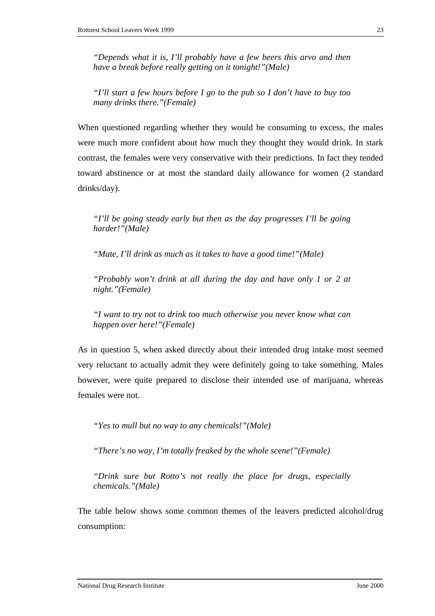*"Depends what it is, I'll probably have a few beers this arvo and then have a break before really getting on it tonight!"(Male)* 

*"I'll start a few hours before I go to the pub so I don't have to buy too many drinks there."(Female)*

When questioned regarding whether they would be consuming to excess, the males were much more confident about how much they thought they would drink. In stark contrast, the females were very conservative with their predictions. In fact they tended toward abstinence or at most the standard daily allowance for women (2 standard drinks/day).

*"I'll be going steady early but then as the day progresses I'll be going harder!"(Male)*

*"Mate, I'll drink as much as it takes to have a good time!"(Male)*

*"Probably won't drink at all during the day and have only 1 or 2 at night."(Female)*

*"I want to try not to drink too much otherwise you never know what can happen over here!"(Female)* 

As in question 5, when asked directly about their intended drug intake most seemed very reluctant to actually admit they were definitely going to take something. Males however, were quite prepared to disclose their intended use of marijuana, whereas females were not.

*"Yes to mull but no way to any chemicals!"(Male)* 

*"There's no way, I'm totally freaked by the whole scene!"(Female)*

*"Drink sure but Rotto's not really the place for drugs, especially chemicals."(Male)*

The table below shows some common themes of the leavers predicted alcohol/drug consumption: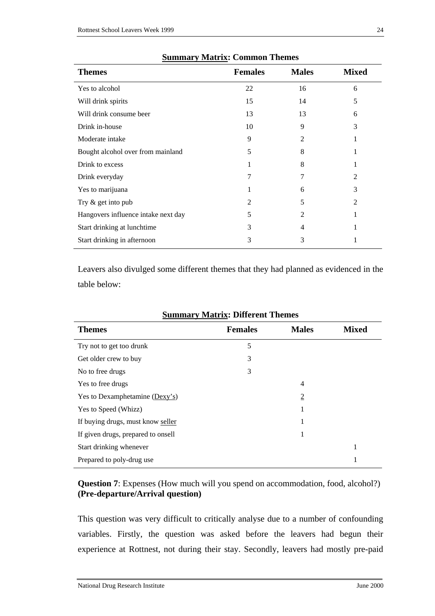| <b>Themes</b>                       | <b>Females</b> | <b>Males</b> | <b>Mixed</b> |
|-------------------------------------|----------------|--------------|--------------|
| Yes to alcohol                      | 22             | 16           | 6            |
| Will drink spirits                  | 15             | 14           | 5            |
| Will drink consume beer             | 13             | 13           | 6            |
| Drink in-house                      | 10             | 9            | 3            |
| Moderate intake                     | 9              | 2            |              |
| Bought alcohol over from mainland   | 5              | 8            |              |
| Drink to excess                     |                | 8            |              |
| Drink everyday                      | 7              |              | 2            |
| Yes to marijuana                    |                | 6            | 3            |
| Try $\&$ get into pub               | 2              | 5            | 2            |
| Hangovers influence intake next day | 5              | 2            |              |
| Start drinking at lunchtime         | 3              | 4            |              |
| Start drinking in afternoon         | 3              | 3            |              |

| <b>Summary Matrix: Common Themes</b> |  |  |  |  |
|--------------------------------------|--|--|--|--|
|--------------------------------------|--|--|--|--|

Leavers also divulged some different themes that they had planned as evidenced in the table below:

| Summary Matrix; Different Themes |                |              |  |  |  |  |
|----------------------------------|----------------|--------------|--|--|--|--|
| <b>Females</b>                   | <b>Males</b>   | <b>Mixed</b> |  |  |  |  |
| 5                                |                |              |  |  |  |  |
| 3                                |                |              |  |  |  |  |
| 3                                |                |              |  |  |  |  |
|                                  | $\overline{4}$ |              |  |  |  |  |
|                                  | $\overline{2}$ |              |  |  |  |  |
|                                  | -              |              |  |  |  |  |
|                                  | 1              |              |  |  |  |  |
|                                  | 1              |              |  |  |  |  |
|                                  |                | 1            |  |  |  |  |
|                                  |                | 1            |  |  |  |  |
|                                  |                |              |  |  |  |  |

## **Summary Matrix: Different Themes**

#### **Question 7**: Expenses (How much will you spend on accommodation, food, alcohol?) **(Pre-departure/Arrival question)**

This question was very difficult to critically analyse due to a number of confounding variables. Firstly, the question was asked before the leavers had begun their experience at Rottnest, not during their stay. Secondly, leavers had mostly pre-paid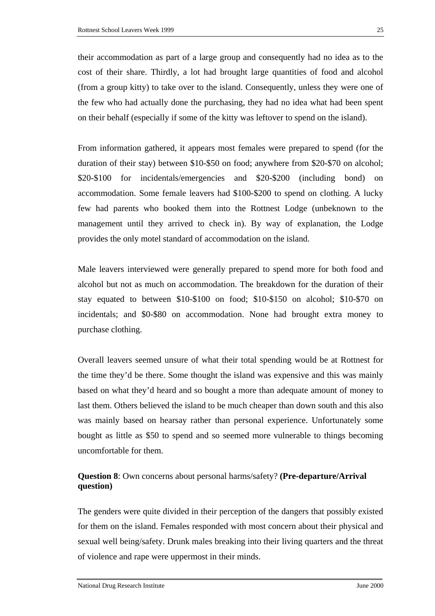their accommodation as part of a large group and consequently had no idea as to the cost of their share. Thirdly, a lot had brought large quantities of food and alcohol (from a group kitty) to take over to the island. Consequently, unless they were one of the few who had actually done the purchasing, they had no idea what had been spent on their behalf (especially if some of the kitty was leftover to spend on the island).

From information gathered, it appears most females were prepared to spend (for the duration of their stay) between \$10-\$50 on food; anywhere from \$20-\$70 on alcohol; \$20-\$100 for incidentals/emergencies and \$20-\$200 (including bond) on accommodation. Some female leavers had \$100-\$200 to spend on clothing. A lucky few had parents who booked them into the Rottnest Lodge (unbeknown to the management until they arrived to check in). By way of explanation, the Lodge provides the only motel standard of accommodation on the island.

Male leavers interviewed were generally prepared to spend more for both food and alcohol but not as much on accommodation. The breakdown for the duration of their stay equated to between \$10-\$100 on food; \$10-\$150 on alcohol; \$10-\$70 on incidentals; and \$0-\$80 on accommodation. None had brought extra money to purchase clothing.

Overall leavers seemed unsure of what their total spending would be at Rottnest for the time they'd be there. Some thought the island was expensive and this was mainly based on what they'd heard and so bought a more than adequate amount of money to last them. Others believed the island to be much cheaper than down south and this also was mainly based on hearsay rather than personal experience. Unfortunately some bought as little as \$50 to spend and so seemed more vulnerable to things becoming uncomfortable for them.

### **Question 8**: Own concerns about personal harms/safety? **(Pre-departure/Arrival question)**

The genders were quite divided in their perception of the dangers that possibly existed for them on the island. Females responded with most concern about their physical and sexual well being/safety. Drunk males breaking into their living quarters and the threat of violence and rape were uppermost in their minds.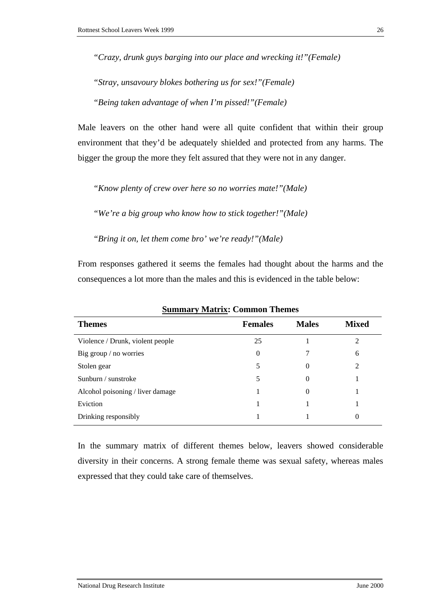*"Crazy, drunk guys barging into our place and wrecking it!"(Female)*

*"Stray, unsavoury blokes bothering us for sex!"(Female)*

*"Being taken advantage of when I'm pissed!"(Female)*

Male leavers on the other hand were all quite confident that within their group environment that they'd be adequately shielded and protected from any harms. The bigger the group the more they felt assured that they were not in any danger.

*"Know plenty of crew over here so no worries mate!"(Male)*

*"We're a big group who know how to stick together!"(Male)* 

*"Bring it on, let them come bro' we're ready!"(Male)*

From responses gathered it seems the females had thought about the harms and the consequences a lot more than the males and this is evidenced in the table below:

| <b>Themes</b>                    | <b>Females</b> | <b>Males</b> | <b>Mixed</b>   |
|----------------------------------|----------------|--------------|----------------|
| Violence / Drunk, violent people | 25             |              | 2              |
| Big group / no worries           | $\theta$       |              | 6              |
| Stolen gear                      | 5              | 0            | $\mathfrak{D}$ |
| Sunburn / sunstroke              | 5              | 0            |                |
| Alcohol poisoning / liver damage |                | 0            |                |
| Eviction                         |                |              |                |
| Drinking responsibly             |                |              | 0              |

**Summary Matrix: Common Themes** 

In the summary matrix of different themes below, leavers showed considerable diversity in their concerns. A strong female theme was sexual safety, whereas males expressed that they could take care of themselves.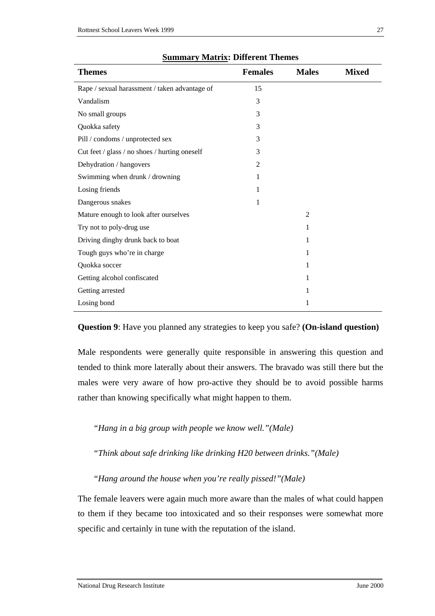| <b>Themes</b>                                 | <b>Females</b> | <b>Males</b>   | <b>Mixed</b> |
|-----------------------------------------------|----------------|----------------|--------------|
| Rape / sexual harassment / taken advantage of | 15             |                |              |
| Vandalism                                     | 3              |                |              |
| No small groups                               | 3              |                |              |
| Quokka safety                                 | 3              |                |              |
| Pill / condoms / unprotected sex              | 3              |                |              |
| Cut feet / glass / no shoes / hurting oneself | 3              |                |              |
| Dehydration / hangovers                       | $\overline{2}$ |                |              |
| Swimming when drunk / drowning                | 1              |                |              |
| Losing friends                                | 1              |                |              |
| Dangerous snakes                              | 1              |                |              |
| Mature enough to look after ourselves         |                | $\overline{2}$ |              |
| Try not to poly-drug use                      |                | 1              |              |
| Driving dinghy drunk back to boat             |                | 1              |              |
| Tough guys who're in charge                   |                | 1              |              |
| Quokka soccer                                 |                | 1              |              |
| Getting alcohol confiscated                   |                | 1              |              |
| Getting arrested                              |                | 1              |              |
| Losing bond                                   |                | 1              |              |

#### **Summary Matrix: Different Themes**

**Question 9**: Have you planned any strategies to keep you safe? **(On-island question)**

Male respondents were generally quite responsible in answering this question and tended to think more laterally about their answers. The bravado was still there but the males were very aware of how pro-active they should be to avoid possible harms rather than knowing specifically what might happen to them.

*"Hang in a big group with people we know well."(Male)*

*"Think about safe drinking like drinking H20 between drinks."(Male)*

*"Hang around the house when you're really pissed!"(Male)*

The female leavers were again much more aware than the males of what could happen to them if they became too intoxicated and so their responses were somewhat more specific and certainly in tune with the reputation of the island.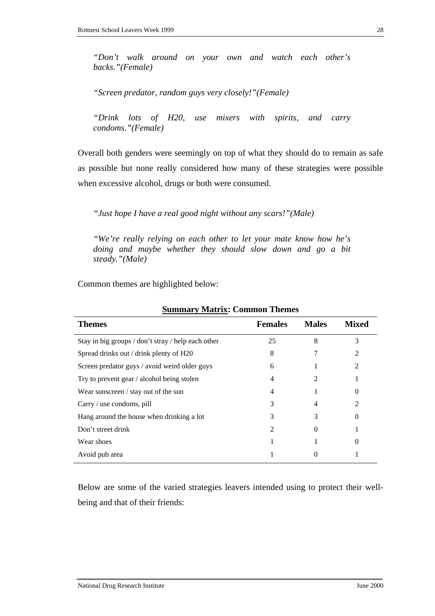*"Don't walk around on your own and watch each other's backs."(Female)*

*"Screen predator, random guys very closely!"(Female)*

*"Drink lots of H20, use mixers with spirits, and carry condoms."(Female)*

Overall both genders were seemingly on top of what they should do to remain as safe as possible but none really considered how many of these strategies were possible when excessive alcohol, drugs or both were consumed.

*"Just hope I have a real good night without any scars!"(Male)*

*"We're really relying on each other to let your mate know how he's doing and maybe whether they should slow down and go a bit steady."(Male)*

Common themes are highlighted below:

| осипписа у гластих, сопитоп                        |                          |              |       |
|----------------------------------------------------|--------------------------|--------------|-------|
| <b>Themes</b>                                      | <b>Females</b>           | <b>Males</b> | Mixed |
| Stay in big groups / don't stray / help each other | 25                       | 8            | 3     |
| Spread drinks out / drink plenty of H20            | 8                        |              |       |
| Screen predator guys / avoid weird older guys      | 6                        |              | 2     |
| Try to prevent gear / alcohol being stolen         | 4                        |              |       |
| Wear sunscreen / stay out of the sun               | 4                        |              | 0     |
| Carry / use condoms, pill                          | 3                        | 4            | 2     |
| Hang around the house when drinking a lot          | 3                        | 3            | 0     |
| Don't street drink                                 | $\overline{\mathcal{L}}$ | $\Omega$     |       |
| Wear shoes                                         |                          |              | 0     |
| Avoid pub area                                     |                          |              |       |

**Summary Matrix: Common Themes** 

Below are some of the varied strategies leavers intended using to protect their wellbeing and that of their friends: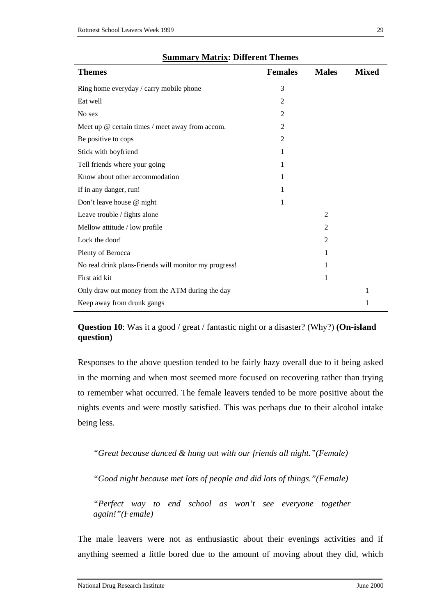| <b>Themes</b>                                         | <b>Females</b> | <b>Males</b>   | <b>Mixed</b> |
|-------------------------------------------------------|----------------|----------------|--------------|
| Ring home everyday / carry mobile phone               | 3              |                |              |
| Eat well                                              | 2              |                |              |
| No sex                                                | 2              |                |              |
| Meet up @ certain times / meet away from accom.       | 2              |                |              |
| Be positive to cops                                   | $\overline{2}$ |                |              |
| Stick with boyfriend                                  | 1              |                |              |
| Tell friends where your going                         | 1              |                |              |
| Know about other accommodation                        | 1              |                |              |
| If in any danger, run!                                | 1              |                |              |
| Don't leave house @ night                             | 1              |                |              |
| Leave trouble / fights alone                          |                | $\overline{2}$ |              |
| Mellow attitude / low profile                         |                | 2              |              |
| Lock the door!                                        |                | $\overline{2}$ |              |
| Plenty of Berocca                                     |                | 1              |              |
| No real drink plans-Friends will monitor my progress! |                | 1              |              |
| First aid kit                                         |                | 1              |              |
| Only draw out money from the ATM during the day       |                |                | 1            |
| Keep away from drunk gangs                            |                |                | 1            |

# **Summary Matrix: Different Themes**

**Question 10**: Was it a good / great / fantastic night or a disaster? (Why?) **(On-island question)**

Responses to the above question tended to be fairly hazy overall due to it being asked in the morning and when most seemed more focused on recovering rather than trying to remember what occurred. The female leavers tended to be more positive about the nights events and were mostly satisfied. This was perhaps due to their alcohol intake being less.

*"Great because danced & hung out with our friends all night."(Female)*

*"Good night because met lots of people and did lots of things."(Female)*

*"Perfect way to end school as won't see everyone together again!"(Female)*

The male leavers were not as enthusiastic about their evenings activities and if anything seemed a little bored due to the amount of moving about they did, which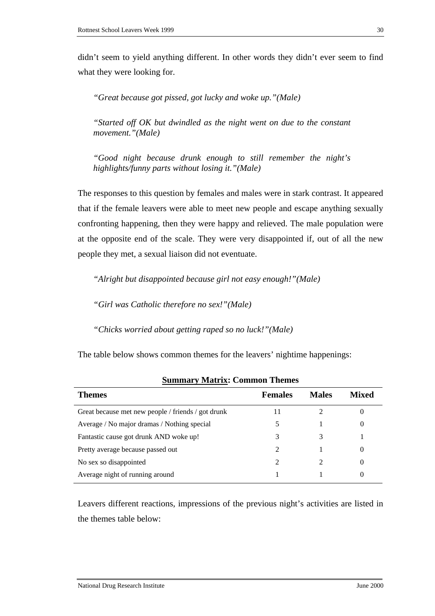didn't seem to yield anything different. In other words they didn't ever seem to find what they were looking for.

*"Great because got pissed, got lucky and woke up."(Male)*

*"Started off OK but dwindled as the night went on due to the constant movement."(Male)*

*"Good night because drunk enough to still remember the night's highlights/funny parts without losing it."(Male)*

The responses to this question by females and males were in stark contrast. It appeared that if the female leavers were able to meet new people and escape anything sexually confronting happening, then they were happy and relieved. The male population were at the opposite end of the scale. They were very disappointed if, out of all the new people they met, a sexual liaison did not eventuate.

*"Alright but disappointed because girl not easy enough!"(Male)*

*"Girl was Catholic therefore no sex!"(Male)*

*"Chicks worried about getting raped so no luck!"(Male)*

The table below shows common themes for the leavers' nightime happenings:

| <b>Themes</b>                                      | <b>Females</b> | <b>Males</b> | <b>Mixed</b> |
|----------------------------------------------------|----------------|--------------|--------------|
| Great because met new people / friends / got drunk |                |              |              |
| Average / No major dramas / Nothing special        |                |              |              |
| Fantastic cause got drunk AND woke up!             |                |              |              |
| Pretty average because passed out                  | 2              |              |              |
| No sex so disappointed                             |                |              |              |
| Average night of running around                    |                |              |              |

**Summary Matrix: Common Themes** 

Leavers different reactions, impressions of the previous night's activities are listed in the themes table below: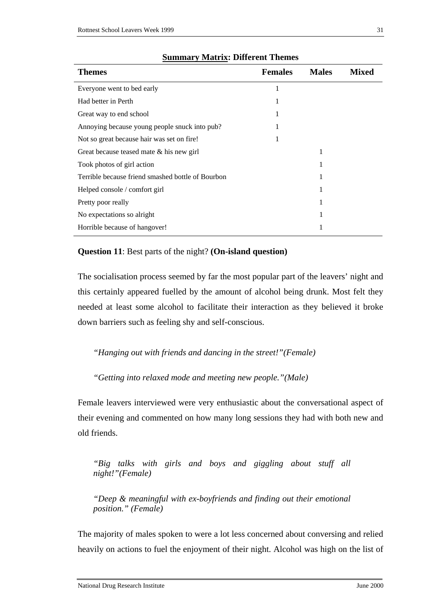| Themes                                            | <b>Females</b> | <b>Males</b> | <b>Mixed</b> |
|---------------------------------------------------|----------------|--------------|--------------|
| Everyone went to bed early                        | 1              |              |              |
| Had better in Perth                               | 1              |              |              |
| Great way to end school                           | 1              |              |              |
| Annoying because young people snuck into pub?     |                |              |              |
| Not so great because hair was set on fire!        |                |              |              |
| Great because teased mate & his new girl          |                | 1            |              |
| Took photos of girl action                        |                | 1            |              |
| Terrible because friend smashed bottle of Bourbon |                |              |              |
| Helped console / comfort girl                     |                |              |              |
| Pretty poor really                                |                | 1            |              |
| No expectations so alright                        |                | 1            |              |
| Horrible because of hangover!                     |                | 1            |              |

#### **Summary Matrix: Different Themes**

#### **Question 11**: Best parts of the night? **(On-island question)**

The socialisation process seemed by far the most popular part of the leavers' night and this certainly appeared fuelled by the amount of alcohol being drunk. Most felt they needed at least some alcohol to facilitate their interaction as they believed it broke down barriers such as feeling shy and self-conscious.

*"Hanging out with friends and dancing in the street!"(Female)*

*"Getting into relaxed mode and meeting new people."(Male)* 

Female leavers interviewed were very enthusiastic about the conversational aspect of their evening and commented on how many long sessions they had with both new and old friends.

*"Big talks with girls and boys and giggling about stuff all night!"(Female)*

*"Deep & meaningful with ex-boyfriends and finding out their emotional position." (Female)*

The majority of males spoken to were a lot less concerned about conversing and relied heavily on actions to fuel the enjoyment of their night. Alcohol was high on the list of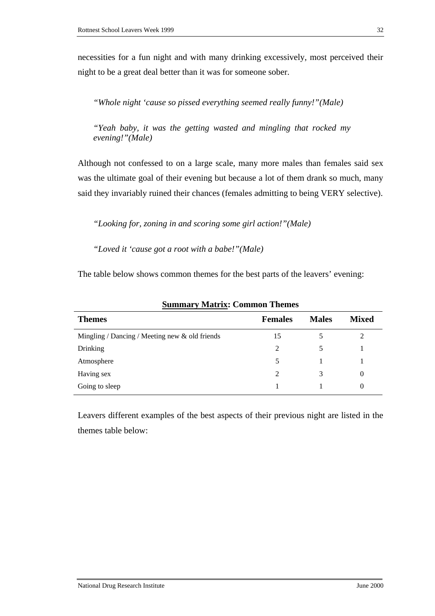necessities for a fun night and with many drinking excessively, most perceived their night to be a great deal better than it was for someone sober.

*"Whole night 'cause so pissed everything seemed really funny!"(Male)*

*"Yeah baby, it was the getting wasted and mingling that rocked my evening!"(Male)*

Although not confessed to on a large scale, many more males than females said sex was the ultimate goal of their evening but because a lot of them drank so much, many said they invariably ruined their chances (females admitting to being VERY selective).

*"Looking for, zoning in and scoring some girl action!"(Male)* 

*"Loved it 'cause got a root with a babe!"(Male)* 

The table below shows common themes for the best parts of the leavers' evening:

| <b>Themes</b>                                     | <b>Females</b> | <b>Males</b> | <b>Mixed</b> |
|---------------------------------------------------|----------------|--------------|--------------|
| Mingling / Dancing / Meeting new $\&$ old friends | 15             |              | 2            |
| Drinking                                          | 2              | 5            |              |
| Atmosphere                                        |                |              |              |
| Having sex                                        | 2              | 3            | $\Omega$     |
| Going to sleep                                    |                |              | $\theta$     |
|                                                   |                |              |              |

**Summary Matrix: Common Themes** 

Leavers different examples of the best aspects of their previous night are listed in the themes table below: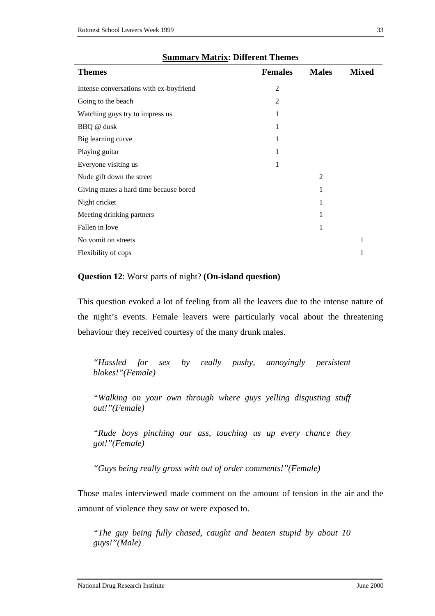| <b>Themes</b>                           | <b>Females</b> | <b>Males</b>   | <b>Mixed</b> |
|-----------------------------------------|----------------|----------------|--------------|
| Intense conversations with ex-boyfriend | $\overline{2}$ |                |              |
| Going to the beach                      | 2              |                |              |
| Watching guys try to impress us         |                |                |              |
| BBQ @ dusk                              | 1              |                |              |
| Big learning curve                      | 1              |                |              |
| Playing guitar                          |                |                |              |
| Everyone visiting us                    | 1              |                |              |
| Nude gift down the street               |                | $\mathfrak{D}$ |              |
| Giving mates a hard time because bored  |                | 1              |              |
| Night cricket                           |                | 1              |              |
| Meeting drinking partners               |                | 1              |              |
| Fallen in love                          |                | 1              |              |
| No vomit on streets                     |                |                | 1            |
| Flexibility of cops                     |                |                | 1            |

### **Summary Matrix: Different Themes**

# **Question 12**: Worst parts of night? **(On-island question)**

This question evoked a lot of feeling from all the leavers due to the intense nature of the night's events. Female leavers were particularly vocal about the threatening behaviour they received courtesy of the many drunk males.

*"Hassled for sex by really pushy, annoyingly persistent blokes!"(Female)*

*"Walking on your own through where guys yelling disgusting stuff out!"(Female)*

*"Rude boys pinching our ass, touching us up every chance they got!"(Female)*

*"Guys being really gross with out of order comments!"(Female)*

Those males interviewed made comment on the amount of tension in the air and the amount of violence they saw or were exposed to.

*"The guy being fully chased, caught and beaten stupid by about 10 guys!"(Male)*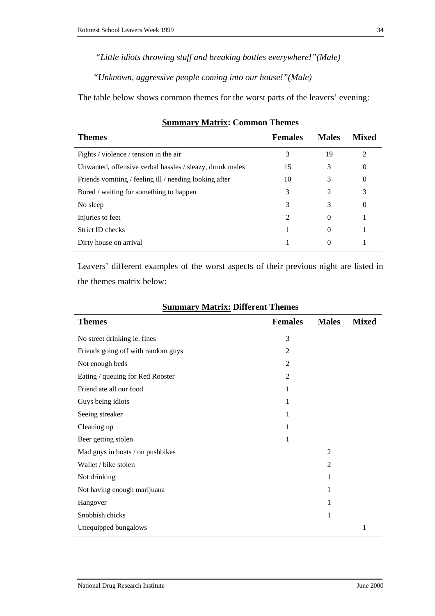*"Little idiots throwing stuff and breaking bottles everywhere!"(Male)*

*"Unknown, aggressive people coming into our house!"(Male)* 

The table below shows common themes for the worst parts of the leavers' evening:

| <b>Themes</b>                                            | <b>Females</b> | <b>Males</b> | Mixed          |
|----------------------------------------------------------|----------------|--------------|----------------|
| Fights / violence / tension in the air                   | 3              | 19           | $\mathfrak{D}$ |
| Unwanted, offensive verbal hassles / sleazy, drunk males | 15             | 3            | $\theta$       |
| Friends vomiting / feeling ill / needing looking after   | 10             | 3            | $\theta$       |
| Bored / waiting for something to happen                  | 3              | 2            | 3              |
| No sleep                                                 | 3              | 3            | $\theta$       |
| Injuries to feet                                         | 2              | $\theta$     |                |
| Strict ID checks                                         |                | $\Omega$     |                |
| Dirty house on arrival                                   |                | $\theta$     |                |
|                                                          |                |              |                |

# **Summary Matrix: Common Themes**

Leavers' different examples of the worst aspects of their previous night are listed in the themes matrix below:

| <b>Themes</b>                      | <b>Females</b> | <b>Males</b>   | <b>Mixed</b> |
|------------------------------------|----------------|----------------|--------------|
| No street drinking ie. fines       | 3              |                |              |
| Friends going off with random guys | $\overline{2}$ |                |              |
| Not enough beds                    | $\overline{2}$ |                |              |
| Eating / queuing for Red Rooster   | $\overline{c}$ |                |              |
| Friend ate all our food            | 1              |                |              |
| Guys being idiots                  | 1              |                |              |
| Seeing streaker                    | 1              |                |              |
| Cleaning up                        | 1              |                |              |
| Beer getting stolen                | 1              |                |              |
| Mad guys in boats / on pushbikes   |                | $\overline{2}$ |              |
| Wallet / bike stolen               |                | 2              |              |
| Not drinking                       |                | 1              |              |
| Not having enough marijuana        |                | 1              |              |
| Hangover                           |                | 1              |              |
| Snobbish chicks                    |                | 1              |              |
| Unequipped bungalows               |                |                | 1            |

### **Summary Matrix: Different Themes**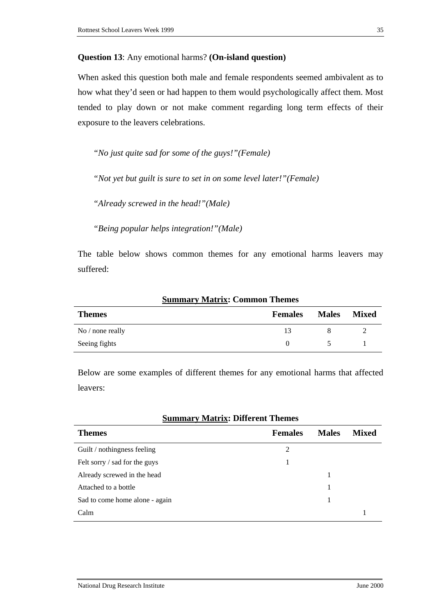### **Question 13**: Any emotional harms? **(On-island question)**

When asked this question both male and female respondents seemed ambivalent as to how what they'd seen or had happen to them would psychologically affect them. Most tended to play down or not make comment regarding long term effects of their exposure to the leavers celebrations.

*"No just quite sad for some of the guys!"(Female)* 

*"Not yet but guilt is sure to set in on some level later!"(Female)*

*"Already screwed in the head!"(Male)*

*"Being popular helps integration!"(Male)*

The table below shows common themes for any emotional harms leavers may suffered:

|                    | $\sim$ williams , it is the set of $\sim$ . The set of a set of $\sim$ |              |              |
|--------------------|------------------------------------------------------------------------|--------------|--------------|
| <b>Themes</b>      | <b>Females</b>                                                         | <b>Males</b> | <b>Mixed</b> |
| No $/$ none really |                                                                        |              |              |
| Seeing fights      |                                                                        |              |              |

### **Summary Matrix: Common Themes**

Below are some examples of different themes for any emotional harms that affected leavers:

### **Summary Matrix: Different Themes**

| <b>Themes</b>                  | <b>Females</b> | <b>Males</b> | <b>Mixed</b> |
|--------------------------------|----------------|--------------|--------------|
| Guilt / nothingness feeling    | 2              |              |              |
| Felt sorry / sad for the guys  |                |              |              |
| Already screwed in the head    |                |              |              |
| Attached to a bottle           |                |              |              |
| Sad to come home alone - again |                |              |              |
| Calm                           |                |              |              |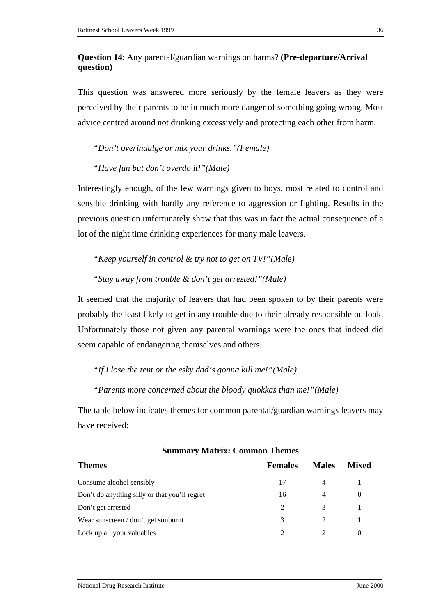# **Question 14**: Any parental/guardian warnings on harms? **(Pre-departure/Arrival question)**

This question was answered more seriously by the female leavers as they were perceived by their parents to be in much more danger of something going wrong. Most advice centred around not drinking excessively and protecting each other from harm.

*"Don't overindulge or mix your drinks."(Female)* 

*"Have fun but don't overdo it!"(Male)*

Interestingly enough, of the few warnings given to boys, most related to control and sensible drinking with hardly any reference to aggression or fighting. Results in the previous question unfortunately show that this was in fact the actual consequence of a lot of the night time drinking experiences for many male leavers.

*"Keep yourself in control & try not to get on TV!"(Male)*

*"Stay away from trouble & don't get arrested!"(Male)*

It seemed that the majority of leavers that had been spoken to by their parents were probably the least likely to get in any trouble due to their already responsible outlook. Unfortunately those not given any parental warnings were the ones that indeed did seem capable of endangering themselves and others.

*"If I lose the tent or the esky dad's gonna kill me!"(Male)*

*"Parents more concerned about the bloody quokkas than me!"(Male)*

The table below indicates themes for common parental/guardian warnings leavers may have received:

| Sunnai y Mau IX. Common Themes                |                |              |              |
|-----------------------------------------------|----------------|--------------|--------------|
| <b>Themes</b>                                 | <b>Females</b> | <b>Males</b> | <b>Mixed</b> |
| Consume alcohol sensibly                      | 17             | 4            |              |
| Don't do anything silly or that you'll regret | 16             | 4            | $\Omega$     |
| Don't get arrested                            | 2              | 3            |              |
| Wear sunscreen / don't get sunburnt           | 3              | 2            |              |
| Lock up all your valuables                    |                |              | 0            |

| <b>Summary Matrix: Common Themes</b> |  |  |  |
|--------------------------------------|--|--|--|
|--------------------------------------|--|--|--|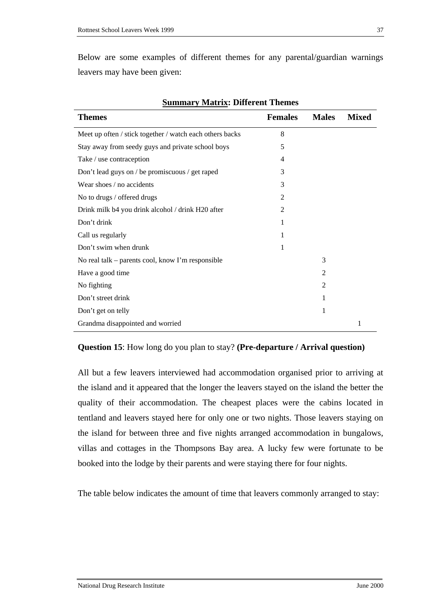Below are some examples of different themes for any parental/guardian warnings leavers may have been given:

| <b>Themes</b>                                            | <b>Females</b> | <b>Males</b>   | <b>Mixed</b> |
|----------------------------------------------------------|----------------|----------------|--------------|
| Meet up often / stick together / watch each others backs | 8              |                |              |
| Stay away from seedy guys and private school boys        | 5              |                |              |
| Take / use contraception                                 | 4              |                |              |
| Don't lead guys on / be promiscuous / get raped          | 3              |                |              |
| Wear shoes / no accidents                                | 3              |                |              |
| No to drugs / offered drugs                              | 2              |                |              |
| Drink milk b4 you drink alcohol / drink H20 after        | 2              |                |              |
| Don't drink                                              | 1              |                |              |
| Call us regularly                                        | 1              |                |              |
| Don't swim when drunk                                    |                |                |              |
| No real talk - parents cool, know I'm responsible        |                | 3              |              |
| Have a good time                                         |                | $\overline{2}$ |              |
| No fighting                                              |                | $\overline{2}$ |              |
| Don't street drink                                       |                | 1              |              |
| Don't get on telly                                       |                | 1              |              |
| Grandma disappointed and worried                         |                |                | 1            |

**Summary Matrix: Different Themes** 

### **Question 15**: How long do you plan to stay? **(Pre-departure / Arrival question)**

All but a few leavers interviewed had accommodation organised prior to arriving at the island and it appeared that the longer the leavers stayed on the island the better the quality of their accommodation. The cheapest places were the cabins located in tentland and leavers stayed here for only one or two nights. Those leavers staying on the island for between three and five nights arranged accommodation in bungalows, villas and cottages in the Thompsons Bay area. A lucky few were fortunate to be booked into the lodge by their parents and were staying there for four nights.

The table below indicates the amount of time that leavers commonly arranged to stay: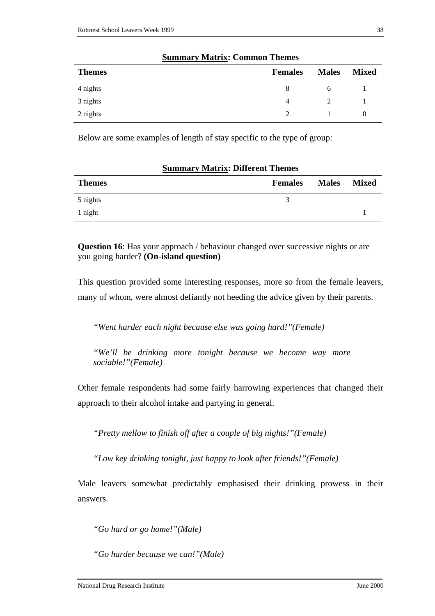| <b>Themes</b> | <b>Females</b> | <b>Males</b> | <b>Mixed</b> |
|---------------|----------------|--------------|--------------|
| 4 nights      |                | <sub>0</sub> |              |
| 3 nights      | 4              | 2            |              |
| 2 nights      | $\mathcal{D}$  |              | $\theta$     |

#### **Summary Matrix: Common Themes**

Below are some examples of length of stay specific to the type of group:

| <b>Summary Matrix: Different Themes</b> |                |              |              |
|-----------------------------------------|----------------|--------------|--------------|
| <b>Themes</b>                           | <b>Females</b> | <b>Males</b> | <b>Mixed</b> |
| 5 nights                                | $\mathbf{z}$   |              |              |
| 1 night                                 |                |              |              |

**Question 16**: Has your approach / behaviour changed over successive nights or are you going harder? **(On-island question)**

This question provided some interesting responses, more so from the female leavers, many of whom, were almost defiantly not heeding the advice given by their parents.

*"Went harder each night because else was going hard!"(Female)*

*"We'll be drinking more tonight because we become way more sociable!"(Female)*

Other female respondents had some fairly harrowing experiences that changed their approach to their alcohol intake and partying in general.

*"Pretty mellow to finish off after a couple of big nights!"(Female)*

*"Low key drinking tonight, just happy to look after friends!"(Female)*

Male leavers somewhat predictably emphasised their drinking prowess in their answers.

*"Go hard or go home!"(Male)*

*"Go harder because we can!"(Male)*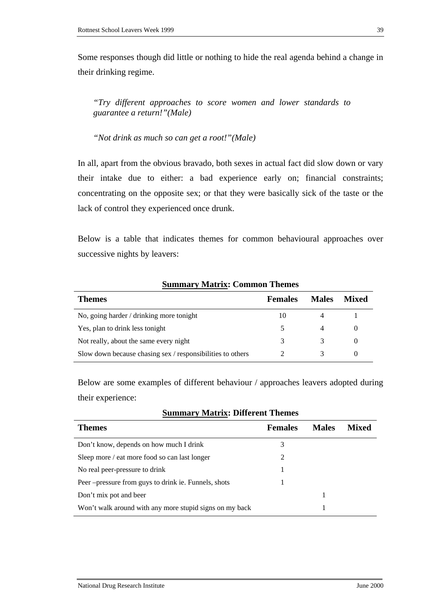Some responses though did little or nothing to hide the real agenda behind a change in their drinking regime.

*"Try different approaches to score women and lower standards to guarantee a return!"(Male)*

*"Not drink as much so can get a root!"(Male)*

In all, apart from the obvious bravado, both sexes in actual fact did slow down or vary their intake due to either: a bad experience early on; financial constraints; concentrating on the opposite sex; or that they were basically sick of the taste or the lack of control they experienced once drunk.

Below is a table that indicates themes for common behavioural approaches over successive nights by leavers:

| <b>Themes</b>                                              | <b>Females</b> | <b>Males</b> | <b>Mixed</b> |
|------------------------------------------------------------|----------------|--------------|--------------|
| No, going harder / drinking more tonight                   | 10             |              |              |
| Yes, plan to drink less tonight                            | 5              |              |              |
| Not really, about the same every night                     | 3              | 3            |              |
| Slow down because chasing sex / responsibilities to others |                |              |              |

**Summary Matrix: Common Themes** 

Below are some examples of different behaviour / approaches leavers adopted during their experience:

| <b>Themes</b>                                           | <b>Females</b> | <b>Males</b> | <b>Mixed</b> |
|---------------------------------------------------------|----------------|--------------|--------------|
| Don't know, depends on how much I drink                 | 3              |              |              |
| Sleep more / eat more food so can last longer           |                |              |              |
| No real peer-pressure to drink                          |                |              |              |
| Peer – pressure from guys to drink ie. Funnels, shots   |                |              |              |
| Don't mix pot and beer                                  |                |              |              |
| Won't walk around with any more stupid signs on my back |                |              |              |

| <b>Summary Matrix: Different Themes</b> |
|-----------------------------------------|
|-----------------------------------------|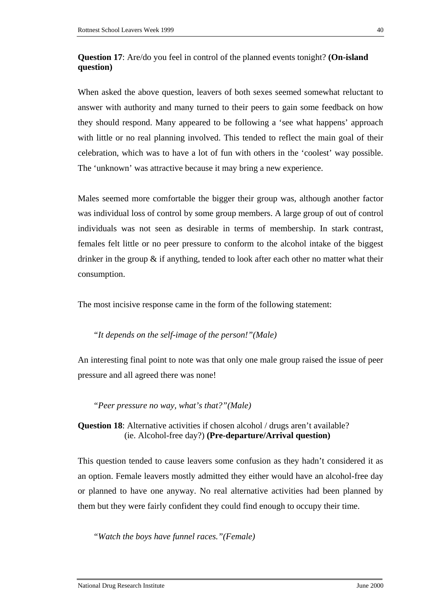# **Question 17**: Are/do you feel in control of the planned events tonight? **(On-island question)**

When asked the above question, leavers of both sexes seemed somewhat reluctant to answer with authority and many turned to their peers to gain some feedback on how they should respond. Many appeared to be following a 'see what happens' approach with little or no real planning involved. This tended to reflect the main goal of their celebration, which was to have a lot of fun with others in the 'coolest' way possible. The 'unknown' was attractive because it may bring a new experience.

Males seemed more comfortable the bigger their group was, although another factor was individual loss of control by some group members. A large group of out of control individuals was not seen as desirable in terms of membership. In stark contrast, females felt little or no peer pressure to conform to the alcohol intake of the biggest drinker in the group  $\&$  if anything, tended to look after each other no matter what their consumption.

The most incisive response came in the form of the following statement:

# *"It depends on the self-image of the person!"(Male)*

An interesting final point to note was that only one male group raised the issue of peer pressure and all agreed there was none!

*"Peer pressure no way, what's that?"(Male)*

**Question 18:** Alternative activities if chosen alcohol / drugs aren't available? (ie. Alcohol-free day?) **(Pre-departure/Arrival question)**

This question tended to cause leavers some confusion as they hadn't considered it as an option. Female leavers mostly admitted they either would have an alcohol-free day or planned to have one anyway. No real alternative activities had been planned by them but they were fairly confident they could find enough to occupy their time.

*"Watch the boys have funnel races."(Female)*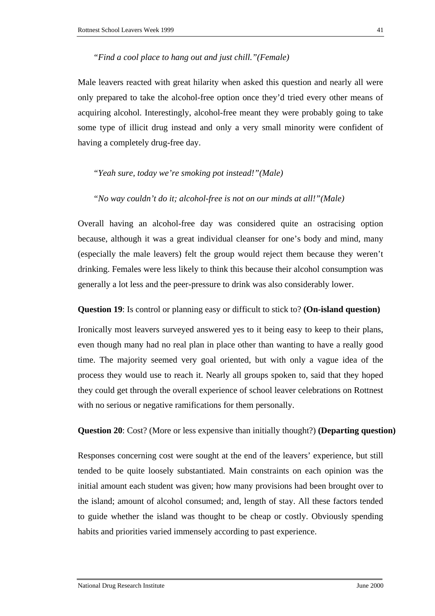### *"Find a cool place to hang out and just chill."(Female)*

Male leavers reacted with great hilarity when asked this question and nearly all were only prepared to take the alcohol-free option once they'd tried every other means of acquiring alcohol. Interestingly, alcohol-free meant they were probably going to take some type of illicit drug instead and only a very small minority were confident of having a completely drug-free day.

### *"Yeah sure, today we're smoking pot instead!"(Male)*

#### *"No way couldn't do it; alcohol-free is not on our minds at all!"(Male)*

Overall having an alcohol-free day was considered quite an ostracising option because, although it was a great individual cleanser for one's body and mind, many (especially the male leavers) felt the group would reject them because they weren't drinking. Females were less likely to think this because their alcohol consumption was generally a lot less and the peer-pressure to drink was also considerably lower.

### **Question 19**: Is control or planning easy or difficult to stick to? **(On-island question)**

Ironically most leavers surveyed answered yes to it being easy to keep to their plans, even though many had no real plan in place other than wanting to have a really good time. The majority seemed very goal oriented, but with only a vague idea of the process they would use to reach it. Nearly all groups spoken to, said that they hoped they could get through the overall experience of school leaver celebrations on Rottnest with no serious or negative ramifications for them personally.

**Question 20**: Cost? (More or less expensive than initially thought?) **(Departing question)**

Responses concerning cost were sought at the end of the leavers' experience, but still tended to be quite loosely substantiated. Main constraints on each opinion was the initial amount each student was given; how many provisions had been brought over to the island; amount of alcohol consumed; and, length of stay. All these factors tended to guide whether the island was thought to be cheap or costly. Obviously spending habits and priorities varied immensely according to past experience.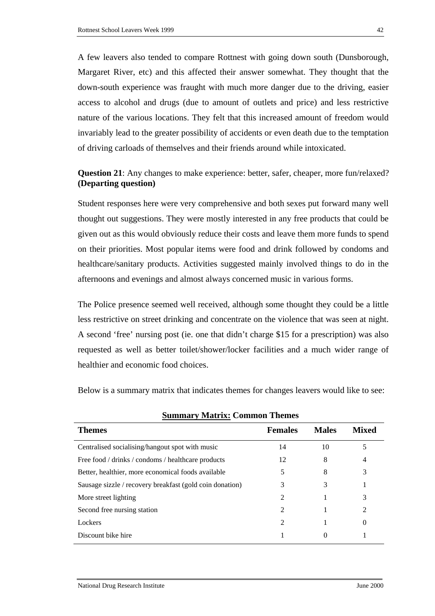A few leavers also tended to compare Rottnest with going down south (Dunsborough, Margaret River, etc) and this affected their answer somewhat. They thought that the down-south experience was fraught with much more danger due to the driving, easier access to alcohol and drugs (due to amount of outlets and price) and less restrictive nature of the various locations. They felt that this increased amount of freedom would invariably lead to the greater possibility of accidents or even death due to the temptation of driving carloads of themselves and their friends around while intoxicated.

# **Question 21**: Any changes to make experience: better, safer, cheaper, more fun/relaxed? **(Departing question)**

Student responses here were very comprehensive and both sexes put forward many well thought out suggestions. They were mostly interested in any free products that could be given out as this would obviously reduce their costs and leave them more funds to spend on their priorities. Most popular items were food and drink followed by condoms and healthcare/sanitary products. Activities suggested mainly involved things to do in the afternoons and evenings and almost always concerned music in various forms.

The Police presence seemed well received, although some thought they could be a little less restrictive on street drinking and concentrate on the violence that was seen at night. A second 'free' nursing post (ie. one that didn't charge \$15 for a prescription) was also requested as well as better toilet/shower/locker facilities and a much wider range of healthier and economic food choices.

Below is a summary matrix that indicates themes for changes leavers would like to see:

| <b>Themes</b>                                            | <b>Females</b>              | <b>Males</b> | <b>Mixed</b> |
|----------------------------------------------------------|-----------------------------|--------------|--------------|
| Centralised socialising/hangout spot with music          | 14                          | 10           |              |
| Free food / drinks / condoms / healthcare products       | 12                          | 8            | 4            |
| Better, healthier, more economical foods available       | 5                           | 8            | 3            |
| Sausage sizzle / recovery breakfast (gold coin donation) | 3                           | 3            |              |
| More street lighting                                     | $\mathfrak{D}$              |              | 3            |
| Second free nursing station                              | $\mathcal{D}_{\mathcal{L}}$ |              | 2            |
| Lockers                                                  | $\mathcal{L}$               |              | 0            |
| Discount bike hire                                       |                             |              |              |

**Summary Matrix: Common Themes**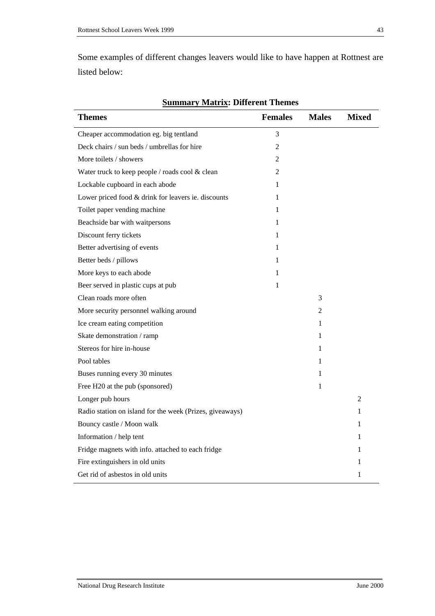Some examples of different changes leavers would like to have happen at Rottnest are listed below:

| <b>Themes</b>                                            | <b>Females</b> | <b>Males</b> | <b>Mixed</b>   |
|----------------------------------------------------------|----------------|--------------|----------------|
| Cheaper accommodation eg. big tentland                   | 3              |              |                |
| Deck chairs / sun beds / umbrellas for hire              | $\overline{2}$ |              |                |
| More toilets / showers                                   | 2              |              |                |
| Water truck to keep people / roads cool & clean          | 2              |              |                |
| Lockable cupboard in each abode                          | 1              |              |                |
| Lower priced food & drink for leavers ie. discounts      | 1              |              |                |
| Toilet paper vending machine                             | 1              |              |                |
| Beachside bar with waitpersons                           | 1              |              |                |
| Discount ferry tickets                                   | 1              |              |                |
| Better advertising of events                             | 1              |              |                |
| Better beds / pillows                                    | 1              |              |                |
| More keys to each abode                                  | 1              |              |                |
| Beer served in plastic cups at pub                       | 1              |              |                |
| Clean roads more often                                   |                | 3            |                |
| More security personnel walking around                   |                | 2            |                |
| Ice cream eating competition                             |                | 1            |                |
| Skate demonstration / ramp                               |                | 1            |                |
| Stereos for hire in-house                                |                | 1            |                |
| Pool tables                                              |                | 1            |                |
| Buses running every 30 minutes                           |                | 1            |                |
| Free H20 at the pub (sponsored)                          |                | 1            |                |
| Longer pub hours                                         |                |              | $\overline{2}$ |
| Radio station on island for the week (Prizes, giveaways) |                |              | 1              |
| Bouncy castle / Moon walk                                |                |              | 1              |
| Information / help tent                                  |                |              | 1              |
| Fridge magnets with info. attached to each fridge        |                |              | 1              |
| Fire extinguishers in old units                          |                |              | 1              |
| Get rid of asbestos in old units                         |                |              | 1              |

**Summary Matrix: Different Themes**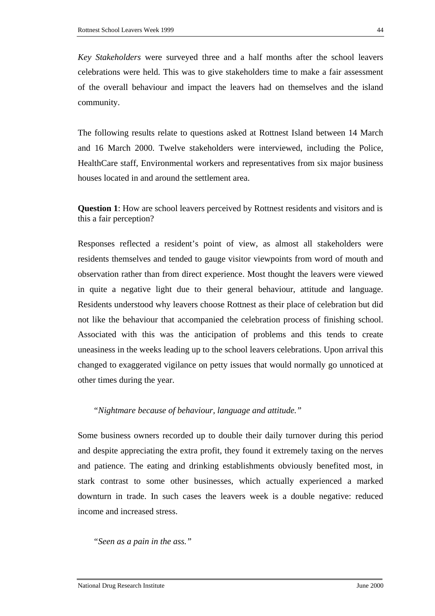*Key Stakeholders* were surveyed three and a half months after the school leavers celebrations were held. This was to give stakeholders time to make a fair assessment of the overall behaviour and impact the leavers had on themselves and the island community.

The following results relate to questions asked at Rottnest Island between 14 March and 16 March 2000. Twelve stakeholders were interviewed, including the Police, HealthCare staff, Environmental workers and representatives from six major business houses located in and around the settlement area.

**Question 1**: How are school leavers perceived by Rottnest residents and visitors and is this a fair perception?

Responses reflected a resident's point of view, as almost all stakeholders were residents themselves and tended to gauge visitor viewpoints from word of mouth and observation rather than from direct experience. Most thought the leavers were viewed in quite a negative light due to their general behaviour, attitude and language. Residents understood why leavers choose Rottnest as their place of celebration but did not like the behaviour that accompanied the celebration process of finishing school. Associated with this was the anticipation of problems and this tends to create uneasiness in the weeks leading up to the school leavers celebrations. Upon arrival this changed to exaggerated vigilance on petty issues that would normally go unnoticed at other times during the year.

# *"Nightmare because of behaviour, language and attitude."*

Some business owners recorded up to double their daily turnover during this period and despite appreciating the extra profit, they found it extremely taxing on the nerves and patience. The eating and drinking establishments obviously benefited most, in stark contrast to some other businesses, which actually experienced a marked downturn in trade. In such cases the leavers week is a double negative: reduced income and increased stress.

### *"Seen as a pain in the ass."*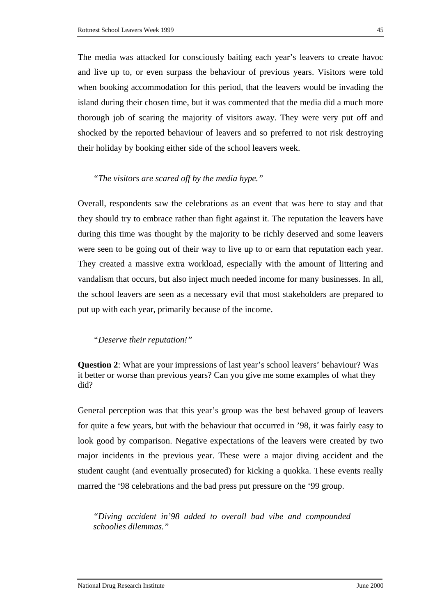The media was attacked for consciously baiting each year's leavers to create havoc and live up to, or even surpass the behaviour of previous years. Visitors were told when booking accommodation for this period, that the leavers would be invading the island during their chosen time, but it was commented that the media did a much more thorough job of scaring the majority of visitors away. They were very put off and shocked by the reported behaviour of leavers and so preferred to not risk destroying their holiday by booking either side of the school leavers week.

### *"The visitors are scared off by the media hype."*

Overall, respondents saw the celebrations as an event that was here to stay and that they should try to embrace rather than fight against it. The reputation the leavers have during this time was thought by the majority to be richly deserved and some leavers were seen to be going out of their way to live up to or earn that reputation each year. They created a massive extra workload, especially with the amount of littering and vandalism that occurs, but also inject much needed income for many businesses. In all, the school leavers are seen as a necessary evil that most stakeholders are prepared to put up with each year, primarily because of the income.

# *"Deserve their reputation!"*

**Question 2**: What are your impressions of last year's school leavers' behaviour? Was it better or worse than previous years? Can you give me some examples of what they did?

General perception was that this year's group was the best behaved group of leavers for quite a few years, but with the behaviour that occurred in '98, it was fairly easy to look good by comparison. Negative expectations of the leavers were created by two major incidents in the previous year. These were a major diving accident and the student caught (and eventually prosecuted) for kicking a quokka. These events really marred the '98 celebrations and the bad press put pressure on the '99 group.

*"Diving accident in'98 added to overall bad vibe and compounded schoolies dilemmas."*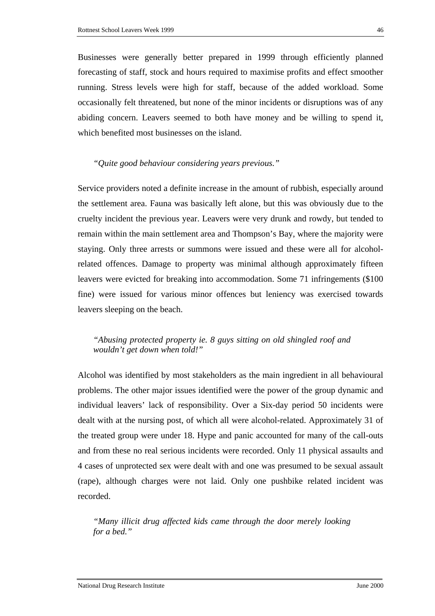Businesses were generally better prepared in 1999 through efficiently planned forecasting of staff, stock and hours required to maximise profits and effect smoother running. Stress levels were high for staff, because of the added workload. Some occasionally felt threatened, but none of the minor incidents or disruptions was of any abiding concern. Leavers seemed to both have money and be willing to spend it, which benefited most businesses on the island.

### *"Quite good behaviour considering years previous."*

Service providers noted a definite increase in the amount of rubbish, especially around the settlement area. Fauna was basically left alone, but this was obviously due to the cruelty incident the previous year. Leavers were very drunk and rowdy, but tended to remain within the main settlement area and Thompson's Bay, where the majority were staying. Only three arrests or summons were issued and these were all for alcoholrelated offences. Damage to property was minimal although approximately fifteen leavers were evicted for breaking into accommodation. Some 71 infringements (\$100 fine) were issued for various minor offences but leniency was exercised towards leavers sleeping on the beach.

# *"Abusing protected property ie. 8 guys sitting on old shingled roof and wouldn't get down when told!"*

Alcohol was identified by most stakeholders as the main ingredient in all behavioural problems. The other major issues identified were the power of the group dynamic and individual leavers' lack of responsibility. Over a Six-day period 50 incidents were dealt with at the nursing post, of which all were alcohol-related. Approximately 31 of the treated group were under 18. Hype and panic accounted for many of the call-outs and from these no real serious incidents were recorded. Only 11 physical assaults and 4 cases of unprotected sex were dealt with and one was presumed to be sexual assault (rape), although charges were not laid. Only one pushbike related incident was recorded.

*"Many illicit drug affected kids came through the door merely looking for a bed."*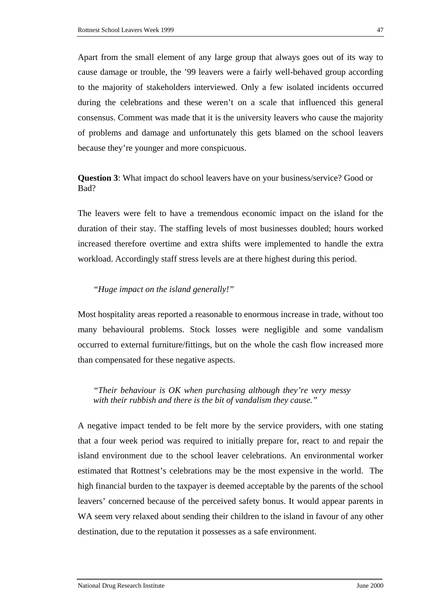Apart from the small element of any large group that always goes out of its way to cause damage or trouble, the '99 leavers were a fairly well-behaved group according to the majority of stakeholders interviewed. Only a few isolated incidents occurred during the celebrations and these weren't on a scale that influenced this general consensus. Comment was made that it is the university leavers who cause the majority of problems and damage and unfortunately this gets blamed on the school leavers because they're younger and more conspicuous.

**Question 3**: What impact do school leavers have on your business/service? Good or Bad?

The leavers were felt to have a tremendous economic impact on the island for the duration of their stay. The staffing levels of most businesses doubled; hours worked increased therefore overtime and extra shifts were implemented to handle the extra workload. Accordingly staff stress levels are at there highest during this period.

### *"Huge impact on the island generally!"*

Most hospitality areas reported a reasonable to enormous increase in trade, without too many behavioural problems. Stock losses were negligible and some vandalism occurred to external furniture/fittings, but on the whole the cash flow increased more than compensated for these negative aspects.

*"Their behaviour is OK when purchasing although they're very messy with their rubbish and there is the bit of vandalism they cause."* 

A negative impact tended to be felt more by the service providers, with one stating that a four week period was required to initially prepare for, react to and repair the island environment due to the school leaver celebrations. An environmental worker estimated that Rottnest's celebrations may be the most expensive in the world. The high financial burden to the taxpayer is deemed acceptable by the parents of the school leavers' concerned because of the perceived safety bonus. It would appear parents in WA seem very relaxed about sending their children to the island in favour of any other destination, due to the reputation it possesses as a safe environment.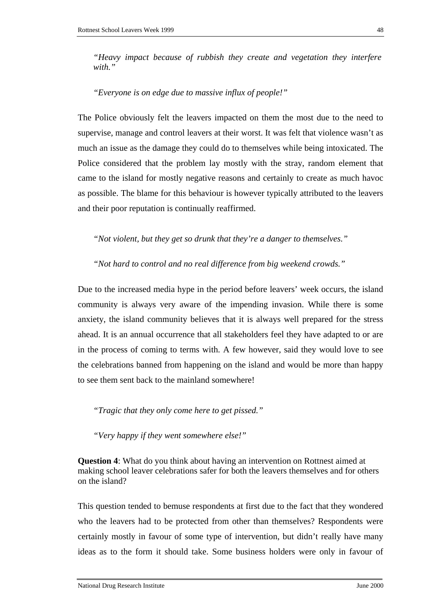*"Heavy impact because of rubbish they create and vegetation they interfere with."* 

*"Everyone is on edge due to massive influx of people!"* 

The Police obviously felt the leavers impacted on them the most due to the need to supervise, manage and control leavers at their worst. It was felt that violence wasn't as much an issue as the damage they could do to themselves while being intoxicated. The Police considered that the problem lay mostly with the stray, random element that came to the island for mostly negative reasons and certainly to create as much havoc as possible. The blame for this behaviour is however typically attributed to the leavers and their poor reputation is continually reaffirmed.

*"Not violent, but they get so drunk that they're a danger to themselves."* 

*"Not hard to control and no real difference from big weekend crowds."* 

Due to the increased media hype in the period before leavers' week occurs, the island community is always very aware of the impending invasion. While there is some anxiety, the island community believes that it is always well prepared for the stress ahead. It is an annual occurrence that all stakeholders feel they have adapted to or are in the process of coming to terms with. A few however, said they would love to see the celebrations banned from happening on the island and would be more than happy to see them sent back to the mainland somewhere!

*"Tragic that they only come here to get pissed."* 

*"Very happy if they went somewhere else!"* 

**Question 4**: What do you think about having an intervention on Rottnest aimed at making school leaver celebrations safer for both the leavers themselves and for others on the island?

This question tended to bemuse respondents at first due to the fact that they wondered who the leavers had to be protected from other than themselves? Respondents were certainly mostly in favour of some type of intervention, but didn't really have many ideas as to the form it should take. Some business holders were only in favour of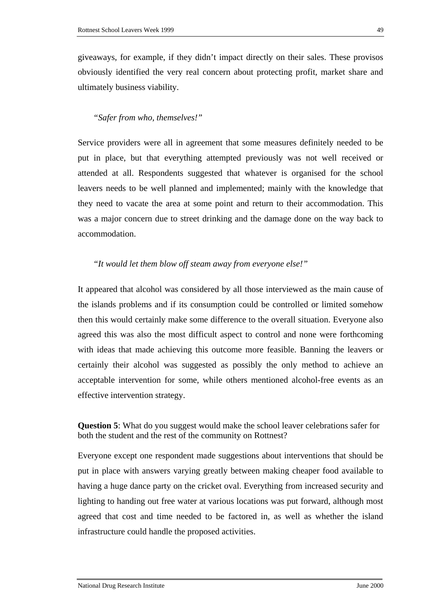giveaways, for example, if they didn't impact directly on their sales. These provisos obviously identified the very real concern about protecting profit, market share and ultimately business viability.

### *"Safer from who, themselves!"*

Service providers were all in agreement that some measures definitely needed to be put in place, but that everything attempted previously was not well received or attended at all. Respondents suggested that whatever is organised for the school leavers needs to be well planned and implemented; mainly with the knowledge that they need to vacate the area at some point and return to their accommodation. This was a major concern due to street drinking and the damage done on the way back to accommodation.

# *"It would let them blow off steam away from everyone else!"*

It appeared that alcohol was considered by all those interviewed as the main cause of the islands problems and if its consumption could be controlled or limited somehow then this would certainly make some difference to the overall situation. Everyone also agreed this was also the most difficult aspect to control and none were forthcoming with ideas that made achieving this outcome more feasible. Banning the leavers or certainly their alcohol was suggested as possibly the only method to achieve an acceptable intervention for some, while others mentioned alcohol-free events as an effective intervention strategy.

**Question 5**: What do you suggest would make the school leaver celebrations safer for both the student and the rest of the community on Rottnest?

Everyone except one respondent made suggestions about interventions that should be put in place with answers varying greatly between making cheaper food available to having a huge dance party on the cricket oval. Everything from increased security and lighting to handing out free water at various locations was put forward, although most agreed that cost and time needed to be factored in, as well as whether the island infrastructure could handle the proposed activities.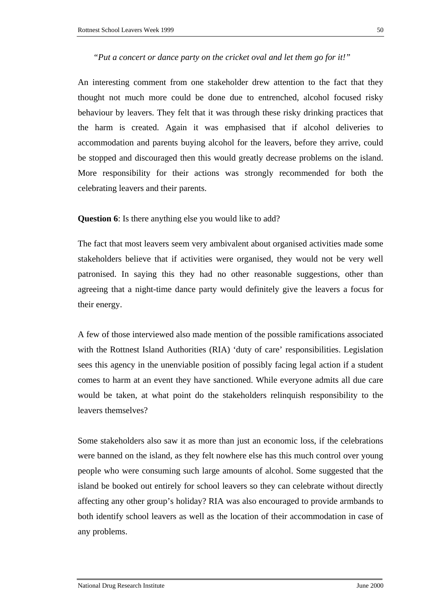An interesting comment from one stakeholder drew attention to the fact that they thought not much more could be done due to entrenched, alcohol focused risky behaviour by leavers. They felt that it was through these risky drinking practices that the harm is created. Again it was emphasised that if alcohol deliveries to accommodation and parents buying alcohol for the leavers, before they arrive, could be stopped and discouraged then this would greatly decrease problems on the island. More responsibility for their actions was strongly recommended for both the celebrating leavers and their parents.

**Question 6**: Is there anything else you would like to add?

The fact that most leavers seem very ambivalent about organised activities made some stakeholders believe that if activities were organised, they would not be very well patronised. In saying this they had no other reasonable suggestions, other than agreeing that a night-time dance party would definitely give the leavers a focus for their energy.

A few of those interviewed also made mention of the possible ramifications associated with the Rottnest Island Authorities (RIA) 'duty of care' responsibilities. Legislation sees this agency in the unenviable position of possibly facing legal action if a student comes to harm at an event they have sanctioned. While everyone admits all due care would be taken, at what point do the stakeholders relinquish responsibility to the leavers themselves?

Some stakeholders also saw it as more than just an economic loss, if the celebrations were banned on the island, as they felt nowhere else has this much control over young people who were consuming such large amounts of alcohol. Some suggested that the island be booked out entirely for school leavers so they can celebrate without directly affecting any other group's holiday? RIA was also encouraged to provide armbands to both identify school leavers as well as the location of their accommodation in case of any problems.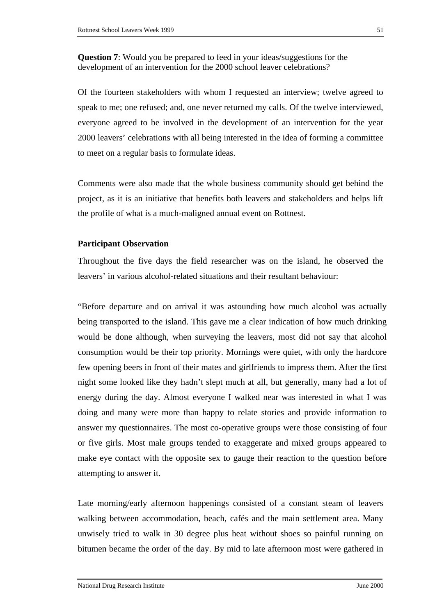**Question 7**: Would you be prepared to feed in your ideas/suggestions for the development of an intervention for the 2000 school leaver celebrations?

Of the fourteen stakeholders with whom I requested an interview; twelve agreed to speak to me; one refused; and, one never returned my calls. Of the twelve interviewed, everyone agreed to be involved in the development of an intervention for the year 2000 leavers' celebrations with all being interested in the idea of forming a committee to meet on a regular basis to formulate ideas.

Comments were also made that the whole business community should get behind the project, as it is an initiative that benefits both leavers and stakeholders and helps lift the profile of what is a much-maligned annual event on Rottnest.

### **Participant Observation**

Throughout the five days the field researcher was on the island, he observed the leavers' in various alcohol-related situations and their resultant behaviour:

"Before departure and on arrival it was astounding how much alcohol was actually being transported to the island. This gave me a clear indication of how much drinking would be done although, when surveying the leavers, most did not say that alcohol consumption would be their top priority. Mornings were quiet, with only the hardcore few opening beers in front of their mates and girlfriends to impress them. After the first night some looked like they hadn't slept much at all, but generally, many had a lot of energy during the day. Almost everyone I walked near was interested in what I was doing and many were more than happy to relate stories and provide information to answer my questionnaires. The most co-operative groups were those consisting of four or five girls. Most male groups tended to exaggerate and mixed groups appeared to make eye contact with the opposite sex to gauge their reaction to the question before attempting to answer it.

Late morning/early afternoon happenings consisted of a constant steam of leavers walking between accommodation, beach, cafés and the main settlement area. Many unwisely tried to walk in 30 degree plus heat without shoes so painful running on bitumen became the order of the day. By mid to late afternoon most were gathered in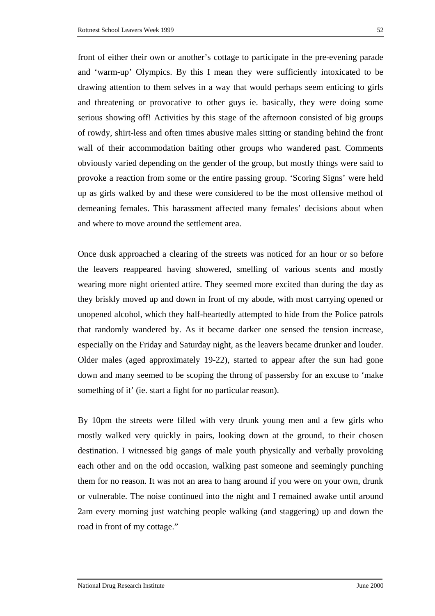front of either their own or another's cottage to participate in the pre-evening parade and 'warm-up' Olympics. By this I mean they were sufficiently intoxicated to be drawing attention to them selves in a way that would perhaps seem enticing to girls and threatening or provocative to other guys ie. basically, they were doing some serious showing off! Activities by this stage of the afternoon consisted of big groups of rowdy, shirt-less and often times abusive males sitting or standing behind the front wall of their accommodation baiting other groups who wandered past. Comments obviously varied depending on the gender of the group, but mostly things were said to provoke a reaction from some or the entire passing group. 'Scoring Signs' were held up as girls walked by and these were considered to be the most offensive method of demeaning females. This harassment affected many females' decisions about when and where to move around the settlement area.

Once dusk approached a clearing of the streets was noticed for an hour or so before the leavers reappeared having showered, smelling of various scents and mostly wearing more night oriented attire. They seemed more excited than during the day as they briskly moved up and down in front of my abode, with most carrying opened or unopened alcohol, which they half-heartedly attempted to hide from the Police patrols that randomly wandered by. As it became darker one sensed the tension increase, especially on the Friday and Saturday night, as the leavers became drunker and louder. Older males (aged approximately 19-22), started to appear after the sun had gone down and many seemed to be scoping the throng of passersby for an excuse to 'make something of it' (ie. start a fight for no particular reason).

By 10pm the streets were filled with very drunk young men and a few girls who mostly walked very quickly in pairs, looking down at the ground, to their chosen destination. I witnessed big gangs of male youth physically and verbally provoking each other and on the odd occasion, walking past someone and seemingly punching them for no reason. It was not an area to hang around if you were on your own, drunk or vulnerable. The noise continued into the night and I remained awake until around 2am every morning just watching people walking (and staggering) up and down the road in front of my cottage."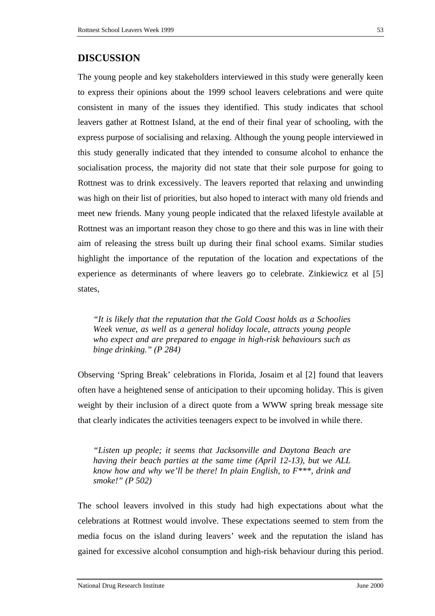The young people and key stakeholders interviewed in this study were generally keen to express their opinions about the 1999 school leavers celebrations and were quite consistent in many of the issues they identified. This study indicates that school leavers gather at Rottnest Island, at the end of their final year of schooling, with the express purpose of socialising and relaxing. Although the young people interviewed in this study generally indicated that they intended to consume alcohol to enhance the socialisation process, the majority did not state that their sole purpose for going to Rottnest was to drink excessively. The leavers reported that relaxing and unwinding was high on their list of priorities, but also hoped to interact with many old friends and meet new friends. Many young people indicated that the relaxed lifestyle available at Rottnest was an important reason they chose to go there and this was in line with their aim of releasing the stress built up during their final school exams. Similar studies highlight the importance of the reputation of the location and expectations of the experience as determinants of where leavers go to celebrate. Zinkiewicz et al [5] states,

*"It is likely that the reputation that the Gold Coast holds as a Schoolies Week venue, as well as a general holiday locale, attracts young people who expect and are prepared to engage in high-risk behaviours such as binge drinking." (P 284)* 

Observing 'Spring Break' celebrations in Florida, Josaim et al [2] found that leavers often have a heightened sense of anticipation to their upcoming holiday. This is given weight by their inclusion of a direct quote from a WWW spring break message site that clearly indicates the activities teenagers expect to be involved in while there.

*"Listen up people; it seems that Jacksonville and Daytona Beach are having their beach parties at the same time (April 12-13), but we ALL know how and why we'll be there! In plain English, to F\*\*\*, drink and smoke!" (P 502)*

The school leavers involved in this study had high expectations about what the celebrations at Rottnest would involve. These expectations seemed to stem from the media focus on the island during leavers' week and the reputation the island has gained for excessive alcohol consumption and high-risk behaviour during this period.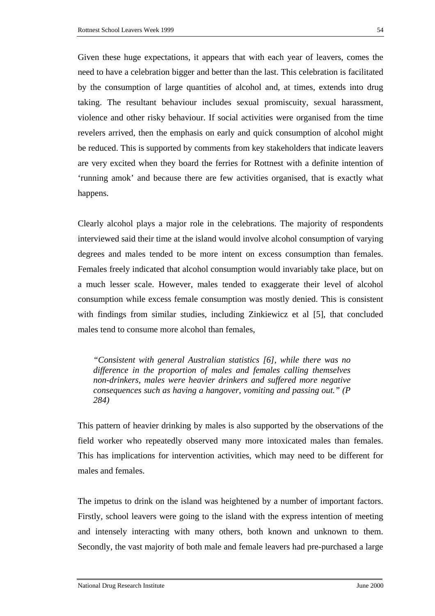Given these huge expectations, it appears that with each year of leavers, comes the need to have a celebration bigger and better than the last. This celebration is facilitated by the consumption of large quantities of alcohol and, at times, extends into drug taking. The resultant behaviour includes sexual promiscuity, sexual harassment, violence and other risky behaviour. If social activities were organised from the time revelers arrived, then the emphasis on early and quick consumption of alcohol might be reduced. This is supported by comments from key stakeholders that indicate leavers are very excited when they board the ferries for Rottnest with a definite intention of 'running amok' and because there are few activities organised, that is exactly what happens.

Clearly alcohol plays a major role in the celebrations. The majority of respondents interviewed said their time at the island would involve alcohol consumption of varying degrees and males tended to be more intent on excess consumption than females. Females freely indicated that alcohol consumption would invariably take place, but on a much lesser scale. However, males tended to exaggerate their level of alcohol consumption while excess female consumption was mostly denied. This is consistent with findings from similar studies, including Zinkiewicz et al [5], that concluded males tend to consume more alcohol than females,

*"Consistent with general Australian statistics [6], while there was no difference in the proportion of males and females calling themselves non-drinkers, males were heavier drinkers and suffered more negative consequences such as having a hangover, vomiting and passing out." (P 284)* 

This pattern of heavier drinking by males is also supported by the observations of the field worker who repeatedly observed many more intoxicated males than females. This has implications for intervention activities, which may need to be different for males and females.

The impetus to drink on the island was heightened by a number of important factors. Firstly, school leavers were going to the island with the express intention of meeting and intensely interacting with many others, both known and unknown to them. Secondly, the vast majority of both male and female leavers had pre-purchased a large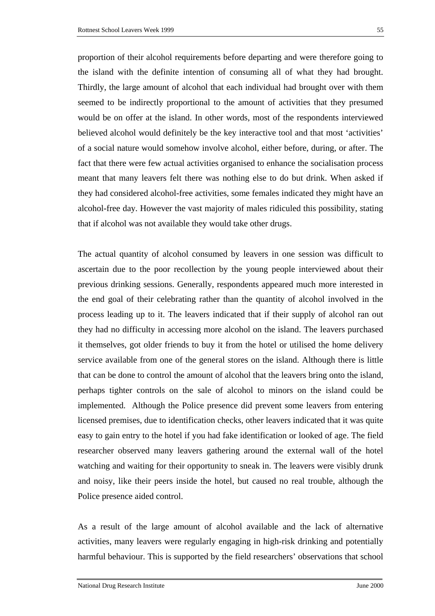proportion of their alcohol requirements before departing and were therefore going to the island with the definite intention of consuming all of what they had brought. Thirdly, the large amount of alcohol that each individual had brought over with them seemed to be indirectly proportional to the amount of activities that they presumed would be on offer at the island. In other words, most of the respondents interviewed believed alcohol would definitely be the key interactive tool and that most 'activities' of a social nature would somehow involve alcohol, either before, during, or after. The fact that there were few actual activities organised to enhance the socialisation process meant that many leavers felt there was nothing else to do but drink. When asked if they had considered alcohol-free activities, some females indicated they might have an alcohol-free day. However the vast majority of males ridiculed this possibility, stating that if alcohol was not available they would take other drugs.

The actual quantity of alcohol consumed by leavers in one session was difficult to ascertain due to the poor recollection by the young people interviewed about their previous drinking sessions. Generally, respondents appeared much more interested in the end goal of their celebrating rather than the quantity of alcohol involved in the process leading up to it. The leavers indicated that if their supply of alcohol ran out they had no difficulty in accessing more alcohol on the island. The leavers purchased it themselves, got older friends to buy it from the hotel or utilised the home delivery service available from one of the general stores on the island. Although there is little that can be done to control the amount of alcohol that the leavers bring onto the island, perhaps tighter controls on the sale of alcohol to minors on the island could be implemented. Although the Police presence did prevent some leavers from entering licensed premises, due to identification checks, other leavers indicated that it was quite easy to gain entry to the hotel if you had fake identification or looked of age. The field researcher observed many leavers gathering around the external wall of the hotel watching and waiting for their opportunity to sneak in. The leavers were visibly drunk and noisy, like their peers inside the hotel, but caused no real trouble, although the Police presence aided control.

As a result of the large amount of alcohol available and the lack of alternative activities, many leavers were regularly engaging in high-risk drinking and potentially harmful behaviour. This is supported by the field researchers' observations that school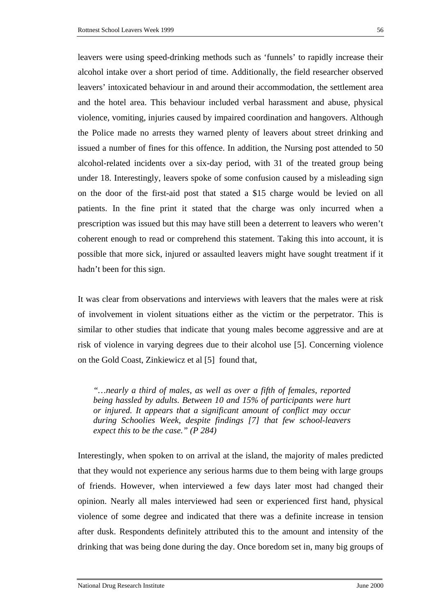leavers were using speed-drinking methods such as 'funnels' to rapidly increase their alcohol intake over a short period of time. Additionally, the field researcher observed leavers' intoxicated behaviour in and around their accommodation, the settlement area and the hotel area. This behaviour included verbal harassment and abuse, physical violence, vomiting, injuries caused by impaired coordination and hangovers. Although the Police made no arrests they warned plenty of leavers about street drinking and issued a number of fines for this offence. In addition, the Nursing post attended to 50 alcohol-related incidents over a six-day period, with 31 of the treated group being under 18. Interestingly, leavers spoke of some confusion caused by a misleading sign on the door of the first-aid post that stated a \$15 charge would be levied on all patients. In the fine print it stated that the charge was only incurred when a prescription was issued but this may have still been a deterrent to leavers who weren't coherent enough to read or comprehend this statement. Taking this into account, it is possible that more sick, injured or assaulted leavers might have sought treatment if it hadn't been for this sign.

It was clear from observations and interviews with leavers that the males were at risk of involvement in violent situations either as the victim or the perpetrator. This is similar to other studies that indicate that young males become aggressive and are at risk of violence in varying degrees due to their alcohol use [5]. Concerning violence on the Gold Coast, Zinkiewicz et al [5] found that,

*"…nearly a third of males, as well as over a fifth of females, reported being hassled by adults. Between 10 and 15% of participants were hurt or injured. It appears that a significant amount of conflict may occur during Schoolies Week, despite findings [7] that few school-leavers expect this to be the case." (P 284)* 

Interestingly, when spoken to on arrival at the island, the majority of males predicted that they would not experience any serious harms due to them being with large groups of friends. However, when interviewed a few days later most had changed their opinion. Nearly all males interviewed had seen or experienced first hand, physical violence of some degree and indicated that there was a definite increase in tension after dusk. Respondents definitely attributed this to the amount and intensity of the drinking that was being done during the day. Once boredom set in, many big groups of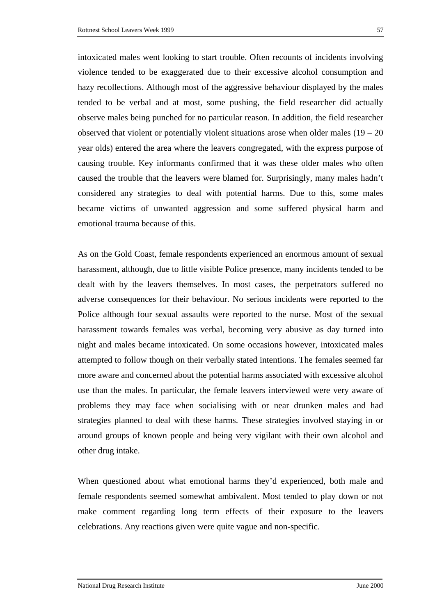intoxicated males went looking to start trouble. Often recounts of incidents involving violence tended to be exaggerated due to their excessive alcohol consumption and hazy recollections. Although most of the aggressive behaviour displayed by the males tended to be verbal and at most, some pushing, the field researcher did actually observe males being punched for no particular reason. In addition, the field researcher observed that violent or potentially violent situations arose when older males  $(19 - 20)$ year olds) entered the area where the leavers congregated, with the express purpose of causing trouble. Key informants confirmed that it was these older males who often caused the trouble that the leavers were blamed for. Surprisingly, many males hadn't considered any strategies to deal with potential harms. Due to this, some males became victims of unwanted aggression and some suffered physical harm and emotional trauma because of this.

As on the Gold Coast, female respondents experienced an enormous amount of sexual harassment, although, due to little visible Police presence, many incidents tended to be dealt with by the leavers themselves. In most cases, the perpetrators suffered no adverse consequences for their behaviour. No serious incidents were reported to the Police although four sexual assaults were reported to the nurse. Most of the sexual harassment towards females was verbal, becoming very abusive as day turned into night and males became intoxicated. On some occasions however, intoxicated males attempted to follow though on their verbally stated intentions. The females seemed far more aware and concerned about the potential harms associated with excessive alcohol use than the males. In particular, the female leavers interviewed were very aware of problems they may face when socialising with or near drunken males and had strategies planned to deal with these harms. These strategies involved staying in or around groups of known people and being very vigilant with their own alcohol and other drug intake.

When questioned about what emotional harms they'd experienced, both male and female respondents seemed somewhat ambivalent. Most tended to play down or not make comment regarding long term effects of their exposure to the leavers celebrations. Any reactions given were quite vague and non-specific.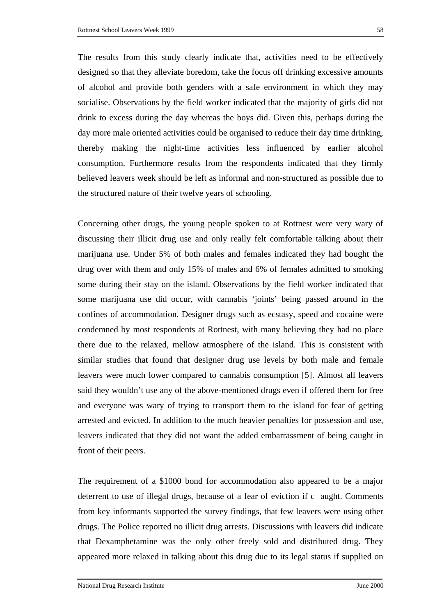The results from this study clearly indicate that, activities need to be effectively designed so that they alleviate boredom, take the focus off drinking excessive amounts of alcohol and provide both genders with a safe environment in which they may socialise. Observations by the field worker indicated that the majority of girls did not drink to excess during the day whereas the boys did. Given this, perhaps during the day more male oriented activities could be organised to reduce their day time drinking, thereby making the night-time activities less influenced by earlier alcohol consumption. Furthermore results from the respondents indicated that they firmly believed leavers week should be left as informal and non-structured as possible due to the structured nature of their twelve years of schooling.

Concerning other drugs, the young people spoken to at Rottnest were very wary of discussing their illicit drug use and only really felt comfortable talking about their marijuana use. Under 5% of both males and females indicated they had bought the drug over with them and only 15% of males and 6% of females admitted to smoking some during their stay on the island. Observations by the field worker indicated that some marijuana use did occur, with cannabis 'joints' being passed around in the confines of accommodation. Designer drugs such as ecstasy, speed and cocaine were condemned by most respondents at Rottnest, with many believing they had no place there due to the relaxed, mellow atmosphere of the island. This is consistent with similar studies that found that designer drug use levels by both male and female leavers were much lower compared to cannabis consumption [5]. Almost all leavers said they wouldn't use any of the above-mentioned drugs even if offered them for free and everyone was wary of trying to transport them to the island for fear of getting arrested and evicted. In addition to the much heavier penalties for possession and use, leavers indicated that they did not want the added embarrassment of being caught in front of their peers.

The requirement of a \$1000 bond for accommodation also appeared to be a major deterrent to use of illegal drugs, because of a fear of eviction if c aught. Comments from key informants supported the survey findings, that few leavers were using other drugs. The Police reported no illicit drug arrests. Discussions with leavers did indicate that Dexamphetamine was the only other freely sold and distributed drug. They appeared more relaxed in talking about this drug due to its legal status if supplied on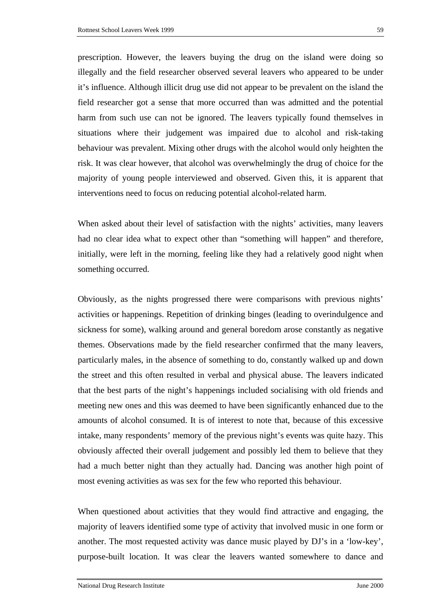prescription. However, the leavers buying the drug on the island were doing so illegally and the field researcher observed several leavers who appeared to be under it's influence. Although illicit drug use did not appear to be prevalent on the island the field researcher got a sense that more occurred than was admitted and the potential harm from such use can not be ignored. The leavers typically found themselves in situations where their judgement was impaired due to alcohol and risk-taking behaviour was prevalent. Mixing other drugs with the alcohol would only heighten the risk. It was clear however, that alcohol was overwhelmingly the drug of choice for the majority of young people interviewed and observed. Given this, it is apparent that interventions need to focus on reducing potential alcohol-related harm.

When asked about their level of satisfaction with the nights' activities, many leavers had no clear idea what to expect other than "something will happen" and therefore, initially, were left in the morning, feeling like they had a relatively good night when something occurred.

Obviously, as the nights progressed there were comparisons with previous nights' activities or happenings. Repetition of drinking binges (leading to overindulgence and sickness for some), walking around and general boredom arose constantly as negative themes. Observations made by the field researcher confirmed that the many leavers, particularly males, in the absence of something to do, constantly walked up and down the street and this often resulted in verbal and physical abuse. The leavers indicated that the best parts of the night's happenings included socialising with old friends and meeting new ones and this was deemed to have been significantly enhanced due to the amounts of alcohol consumed. It is of interest to note that, because of this excessive intake, many respondents' memory of the previous night's events was quite hazy. This obviously affected their overall judgement and possibly led them to believe that they had a much better night than they actually had. Dancing was another high point of most evening activities as was sex for the few who reported this behaviour.

When questioned about activities that they would find attractive and engaging, the majority of leavers identified some type of activity that involved music in one form or another. The most requested activity was dance music played by DJ's in a 'low-key', purpose-built location. It was clear the leavers wanted somewhere to dance and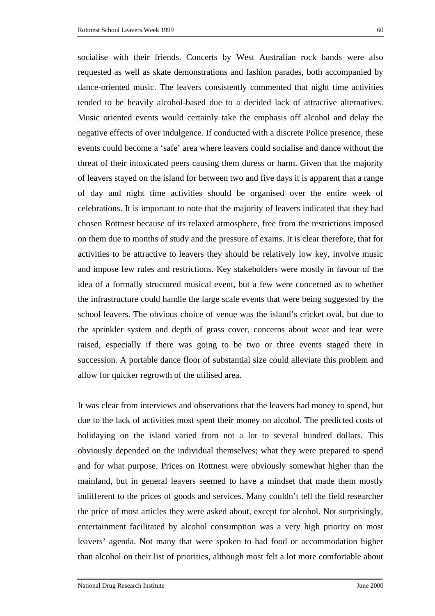socialise with their friends. Concerts by West Australian rock bands were also requested as well as skate demonstrations and fashion parades, both accompanied by dance-oriented music. The leavers consistently commented that night time activities tended to be heavily alcohol-based due to a decided lack of attractive alternatives. Music oriented events would certainly take the emphasis off alcohol and delay the negative effects of over indulgence. If conducted with a discrete Police presence, these events could become a 'safe' area where leavers could socialise and dance without the threat of their intoxicated peers causing them duress or harm. Given that the majority of leavers stayed on the island for between two and five days it is apparent that a range of day and night time activities should be organised over the entire week of celebrations. It is important to note that the majority of leavers indicated that they had chosen Rottnest because of its relaxed atmosphere, free from the restrictions imposed on them due to months of study and the pressure of exams. It is clear therefore, that for activities to be attractive to leavers they should be relatively low key, involve music and impose few rules and restrictions. Key stakeholders were mostly in favour of the idea of a formally structured musical event, but a few were concerned as to whether the infrastructure could handle the large scale events that were being suggested by the school leavers. The obvious choice of venue was the island's cricket oval, but due to the sprinkler system and depth of grass cover, concerns about wear and tear were raised, especially if there was going to be two or three events staged there in succession. A portable dance floor of substantial size could alleviate this problem and allow for quicker regrowth of the utilised area.

It was clear from interviews and observations that the leavers had money to spend, but due to the lack of activities most spent their money on alcohol. The predicted costs of holidaying on the island varied from not a lot to several hundred dollars. This obviously depended on the individual themselves; what they were prepared to spend and for what purpose. Prices on Rottnest were obviously somewhat higher than the mainland, but in general leavers seemed to have a mindset that made them mostly indifferent to the prices of goods and services. Many couldn't tell the field researcher the price of most articles they were asked about, except for alcohol. Not surprisingly, entertainment facilitated by alcohol consumption was a very high priority on most leavers' agenda. Not many that were spoken to had food or accommodation higher than alcohol on their list of priorities, although most felt a lot more comfortable about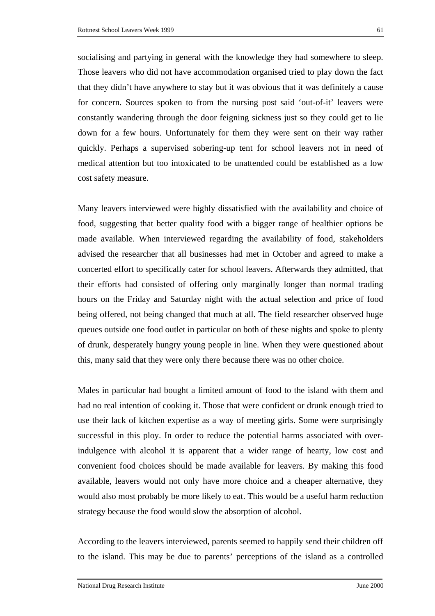socialising and partying in general with the knowledge they had somewhere to sleep. Those leavers who did not have accommodation organised tried to play down the fact that they didn't have anywhere to stay but it was obvious that it was definitely a cause for concern. Sources spoken to from the nursing post said 'out-of-it' leavers were constantly wandering through the door feigning sickness just so they could get to lie down for a few hours. Unfortunately for them they were sent on their way rather quickly. Perhaps a supervised sobering-up tent for school leavers not in need of medical attention but too intoxicated to be unattended could be established as a low cost safety measure.

Many leavers interviewed were highly dissatisfied with the availability and choice of food, suggesting that better quality food with a bigger range of healthier options be made available. When interviewed regarding the availability of food, stakeholders advised the researcher that all businesses had met in October and agreed to make a concerted effort to specifically cater for school leavers. Afterwards they admitted, that their efforts had consisted of offering only marginally longer than normal trading hours on the Friday and Saturday night with the actual selection and price of food being offered, not being changed that much at all. The field researcher observed huge queues outside one food outlet in particular on both of these nights and spoke to plenty of drunk, desperately hungry young people in line. When they were questioned about this, many said that they were only there because there was no other choice.

Males in particular had bought a limited amount of food to the island with them and had no real intention of cooking it. Those that were confident or drunk enough tried to use their lack of kitchen expertise as a way of meeting girls. Some were surprisingly successful in this ploy. In order to reduce the potential harms associated with overindulgence with alcohol it is apparent that a wider range of hearty, low cost and convenient food choices should be made available for leavers. By making this food available, leavers would not only have more choice and a cheaper alternative, they would also most probably be more likely to eat. This would be a useful harm reduction strategy because the food would slow the absorption of alcohol.

According to the leavers interviewed, parents seemed to happily send their children off to the island. This may be due to parents' perceptions of the island as a controlled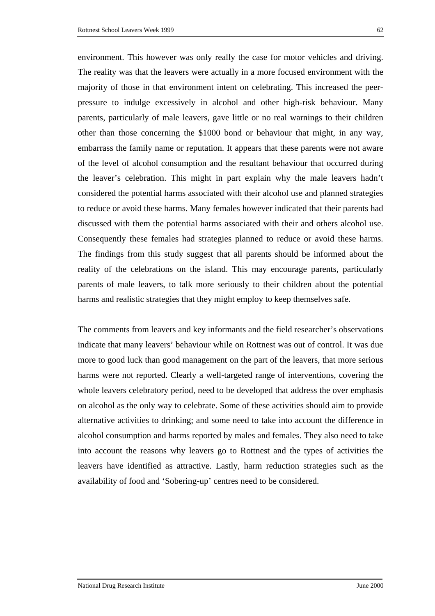environment. This however was only really the case for motor vehicles and driving. The reality was that the leavers were actually in a more focused environment with the majority of those in that environment intent on celebrating. This increased the peerpressure to indulge excessively in alcohol and other high-risk behaviour. Many parents, particularly of male leavers, gave little or no real warnings to their children other than those concerning the \$1000 bond or behaviour that might, in any way, embarrass the family name or reputation. It appears that these parents were not aware of the level of alcohol consumption and the resultant behaviour that occurred during the leaver's celebration. This might in part explain why the male leavers hadn't considered the potential harms associated with their alcohol use and planned strategies to reduce or avoid these harms. Many females however indicated that their parents had discussed with them the potential harms associated with their and others alcohol use. Consequently these females had strategies planned to reduce or avoid these harms. The findings from this study suggest that all parents should be informed about the reality of the celebrations on the island. This may encourage parents, particularly parents of male leavers, to talk more seriously to their children about the potential harms and realistic strategies that they might employ to keep themselves safe.

The comments from leavers and key informants and the field researcher's observations indicate that many leavers' behaviour while on Rottnest was out of control. It was due more to good luck than good management on the part of the leavers, that more serious harms were not reported. Clearly a well-targeted range of interventions, covering the whole leavers celebratory period, need to be developed that address the over emphasis on alcohol as the only way to celebrate. Some of these activities should aim to provide alternative activities to drinking; and some need to take into account the difference in alcohol consumption and harms reported by males and females. They also need to take into account the reasons why leavers go to Rottnest and the types of activities the leavers have identified as attractive. Lastly, harm reduction strategies such as the availability of food and 'Sobering-up' centres need to be considered.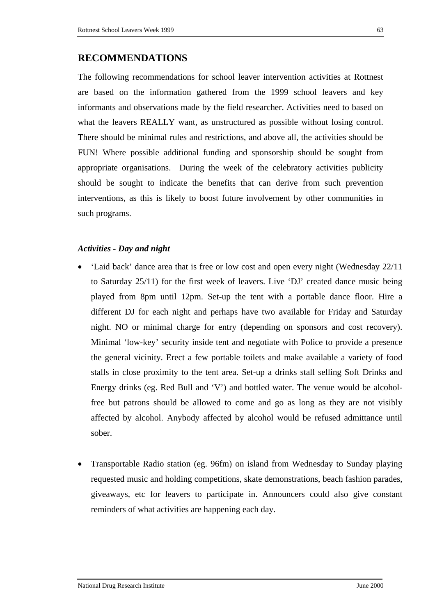The following recommendations for school leaver intervention activities at Rottnest are based on the information gathered from the 1999 school leavers and key informants and observations made by the field researcher. Activities need to based on what the leavers REALLY want, as unstructured as possible without losing control. There should be minimal rules and restrictions, and above all, the activities should be FUN! Where possible additional funding and sponsorship should be sought from appropriate organisations. During the week of the celebratory activities publicity should be sought to indicate the benefits that can derive from such prevention interventions, as this is likely to boost future involvement by other communities in such programs.

# *Activities - Day and night*

- 'Laid back' dance area that is free or low cost and open every night (Wednesday 22/11 to Saturday 25/11) for the first week of leavers. Live 'DJ' created dance music being played from 8pm until 12pm. Set-up the tent with a portable dance floor. Hire a different DJ for each night and perhaps have two available for Friday and Saturday night. NO or minimal charge for entry (depending on sponsors and cost recovery). Minimal 'low-key' security inside tent and negotiate with Police to provide a presence the general vicinity. Erect a few portable toilets and make available a variety of food stalls in close proximity to the tent area. Set-up a drinks stall selling Soft Drinks and Energy drinks (eg. Red Bull and 'V') and bottled water. The venue would be alcoholfree but patrons should be allowed to come and go as long as they are not visibly affected by alcohol. Anybody affected by alcohol would be refused admittance until sober.
- Transportable Radio station (eg. 96fm) on island from Wednesday to Sunday playing requested music and holding competitions, skate demonstrations, beach fashion parades, giveaways, etc for leavers to participate in. Announcers could also give constant reminders of what activities are happening each day.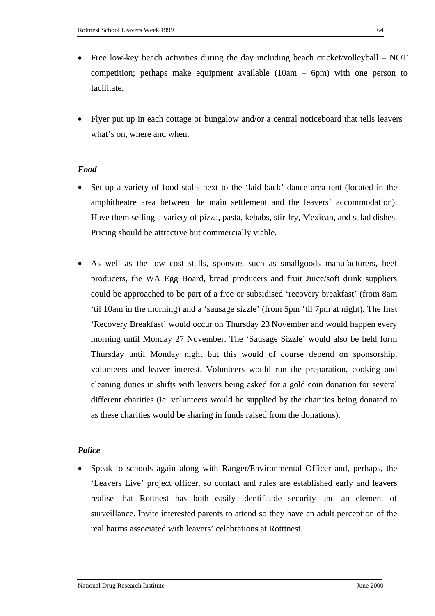- Free low-key beach activities during the day including beach cricket/volleyball NOT competition; perhaps make equipment available  $(10am - 6pm)$  with one person to facilitate.
- Flyer put up in each cottage or bungalow and/or a central noticeboard that tells leavers what's on, where and when.

### *Food*

- Set-up a variety of food stalls next to the 'laid-back' dance area tent (located in the amphitheatre area between the main settlement and the leavers' accommodation). Have them selling a variety of pizza, pasta, kebabs, stir-fry, Mexican, and salad dishes. Pricing should be attractive but commercially viable.
- As well as the low cost stalls, sponsors such as smallgoods manufacturers, beef producers, the WA Egg Board, bread producers and fruit Juice/soft drink suppliers could be approached to be part of a free or subsidised 'recovery breakfast' (from 8am 'til 10am in the morning) and a 'sausage sizzle' (from 5pm 'til 7pm at night). The first 'Recovery Breakfast' would occur on Thursday 23 November and would happen every morning until Monday 27 November. The 'Sausage Sizzle' would also be held form Thursday until Monday night but this would of course depend on sponsorship, volunteers and leaver interest. Volunteers would run the preparation, cooking and cleaning duties in shifts with leavers being asked for a gold coin donation for several different charities (ie. volunteers would be supplied by the charities being donated to as these charities would be sharing in funds raised from the donations).

### *Police*

• Speak to schools again along with Ranger/Environmental Officer and, perhaps, the 'Leavers Live' project officer, so contact and rules are established early and leavers realise that Rottnest has both easily identifiable security and an element of surveillance. Invite interested parents to attend so they have an adult perception of the real harms associated with leavers' celebrations at Rotttnest.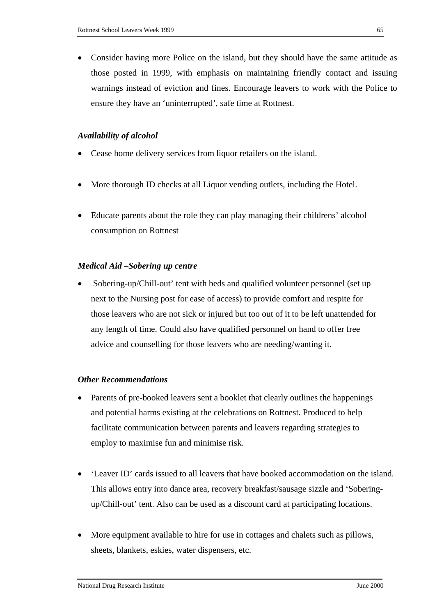• Consider having more Police on the island, but they should have the same attitude as those posted in 1999, with emphasis on maintaining friendly contact and issuing warnings instead of eviction and fines. Encourage leavers to work with the Police to ensure they have an 'uninterrupted', safe time at Rottnest.

### *Availability of alcohol*

- Cease home delivery services from liquor retailers on the island.
- More thorough ID checks at all Liquor vending outlets, including the Hotel.
- Educate parents about the role they can play managing their childrens' alcohol consumption on Rottnest

#### *Medical Aid –Sobering up centre*

• Sobering-up/Chill-out' tent with beds and qualified volunteer personnel (set up next to the Nursing post for ease of access) to provide comfort and respite for those leavers who are not sick or injured but too out of it to be left unattended for any length of time. Could also have qualified personnel on hand to offer free advice and counselling for those leavers who are needing/wanting it.

### *Other Recommendations*

- Parents of pre-booked leavers sent a booklet that clearly outlines the happenings and potential harms existing at the celebrations on Rottnest. Produced to help facilitate communication between parents and leavers regarding strategies to employ to maximise fun and minimise risk.
- 'Leaver ID' cards issued to all leavers that have booked accommodation on the island. This allows entry into dance area, recovery breakfast/sausage sizzle and 'Soberingup/Chill-out' tent. Also can be used as a discount card at participating locations.
- More equipment available to hire for use in cottages and chalets such as pillows, sheets, blankets, eskies, water dispensers, etc.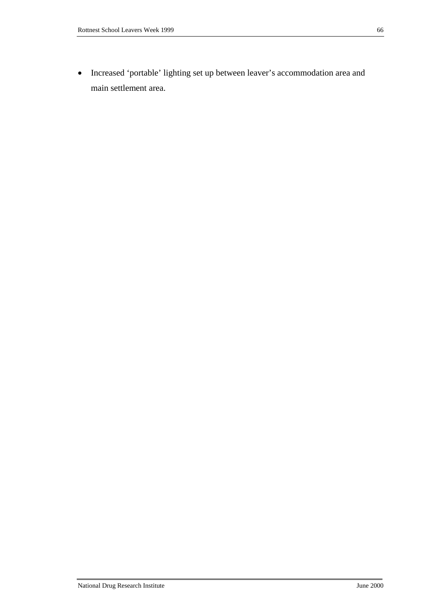• Increased 'portable' lighting set up between leaver's accommodation area and main settlement area.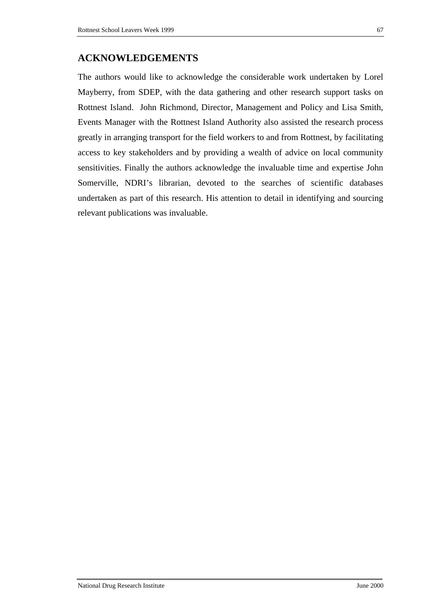### **ACKNOWLEDGEMENTS**

The authors would like to acknowledge the considerable work undertaken by Lorel Mayberry, from SDEP, with the data gathering and other research support tasks on Rottnest Island. John Richmond, Director, Management and Policy and Lisa Smith, Events Manager with the Rottnest Island Authority also assisted the research process greatly in arranging transport for the field workers to and from Rottnest, by facilitating access to key stakeholders and by providing a wealth of advice on local community sensitivities. Finally the authors acknowledge the invaluable time and expertise John Somerville, NDRI's librarian, devoted to the searches of scientific databases undertaken as part of this research. His attention to detail in identifying and sourcing relevant publications was invaluable.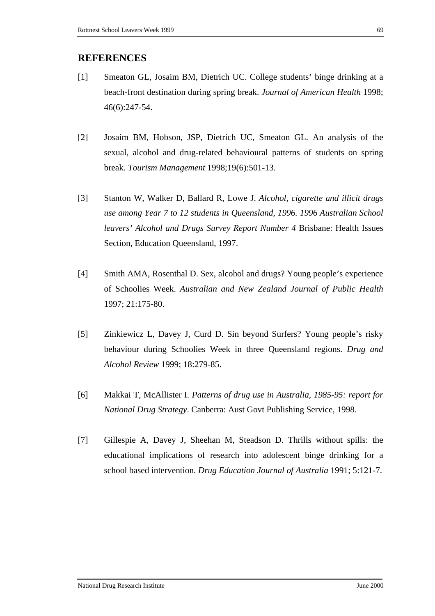### **REFERENCES**

- [1] Smeaton GL, Josaim BM, Dietrich UC. College students' binge drinking at a beach-front destination during spring break. *Journal of American Health* 1998; 46(6):247-54.
- [2] Josaim BM, Hobson, JSP, Dietrich UC, Smeaton GL. An analysis of the sexual, alcohol and drug-related behavioural patterns of students on spring break. *Tourism Management* 1998;19(6):501-13.
- [3] Stanton W, Walker D, Ballard R, Lowe J. *Alcohol, cigarette and illicit drugs use among Year 7 to 12 students in Queensland, 1996. 1996 Australian School leavers' Alcohol and Drugs Survey Report Number 4* Brisbane: Health Issues Section, Education Queensland, 1997.
- [4] Smith AMA, Rosenthal D. Sex, alcohol and drugs? Young people's experience of Schoolies Week. *Australian and New Zealand Journal of Public Health* 1997; 21:175-80.
- [5] Zinkiewicz L, Davey J, Curd D. Sin beyond Surfers? Young people's risky behaviour during Schoolies Week in three Queensland regions. *Drug and Alcohol Review* 1999; 18:279-85.
- [6] Makkai T, McAllister I. *Patterns of drug use in Australia, 1985-95: report for National Drug Strategy*. Canberra: Aust Govt Publishing Service, 1998.
- [7] Gillespie A, Davey J, Sheehan M, Steadson D. Thrills without spills: the educational implications of research into adolescent binge drinking for a school based intervention. *Drug Education Journal of Australia* 1991; 5:121-7.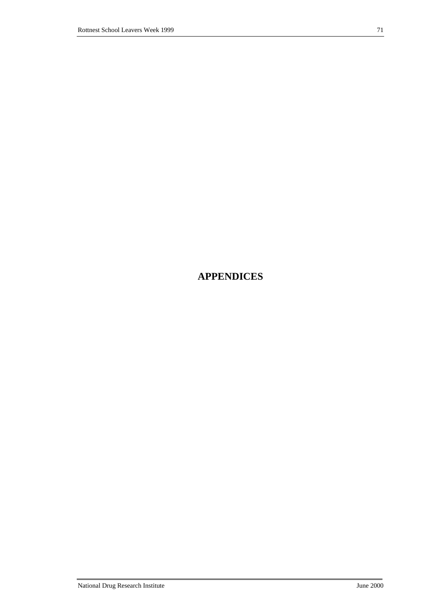# **APPENDICES**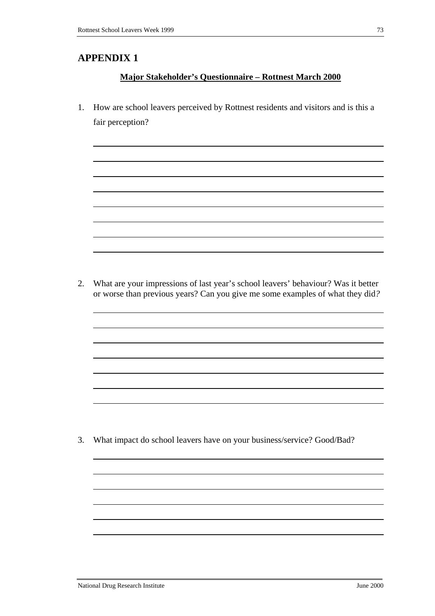## **Major Stakeholder's Questionnaire – Rottnest March 2000**

1. How are school leavers perceived by Rottnest residents and visitors and is this a fair perception?

2. What are your impressions of last year's school leavers' behaviour? Was it better or worse than previous years? Can you give me some examples of what they did*?* 

3. What impact do school leavers have on your business/service? Good/Bad?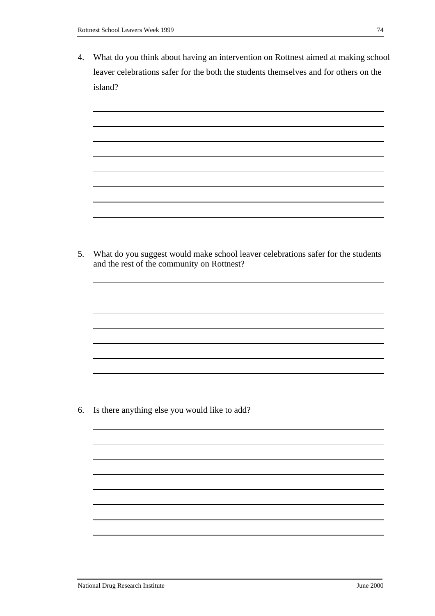4. What do you think about having an intervention on Rottnest aimed at making school leaver celebrations safer for the both the students themselves and for others on the island?

5. What do you suggest would make school leaver celebrations safer for the students and the rest of the community on Rottnest?

6. Is there anything else you would like to add?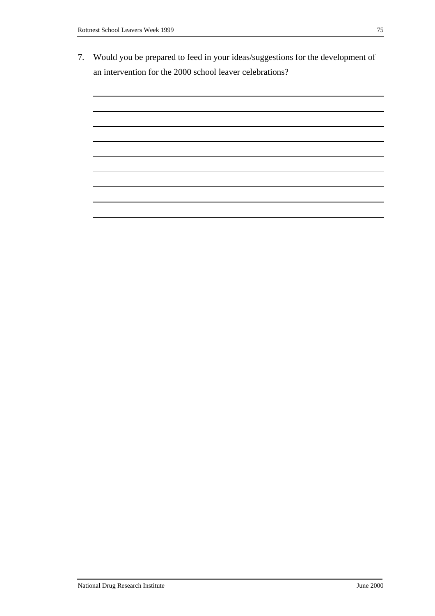7. Would you be prepared to feed in your ideas/suggestions for the development of an intervention for the 2000 school leaver celebrations?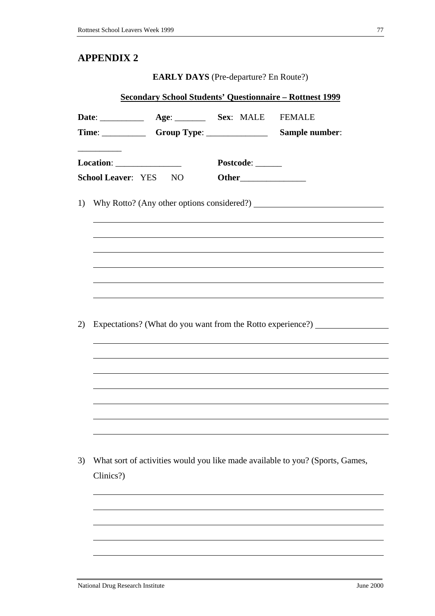**EARLY DAYS** (Pre-departure? En Route?)

| <b><u>Secondary School Students' Questionnaire – Rottnest 1999</u></b> |                                                            |                                                          |  |                  |                                                                                  |  |
|------------------------------------------------------------------------|------------------------------------------------------------|----------------------------------------------------------|--|------------------|----------------------------------------------------------------------------------|--|
|                                                                        |                                                            | Date: ________________ Age: ___________ Sex: MALE FEMALE |  |                  |                                                                                  |  |
|                                                                        | Location: ___________________<br><b>School Leaver: YES</b> | NQ                                                       |  | Postcode: ______ |                                                                                  |  |
|                                                                        |                                                            |                                                          |  |                  | 1) Why Rotto? (Any other options considered?) __________________________________ |  |
|                                                                        |                                                            |                                                          |  |                  |                                                                                  |  |
| 2)                                                                     |                                                            |                                                          |  |                  | Expectations? (What do you want from the Rotto experience?) ____________________ |  |
|                                                                        |                                                            |                                                          |  |                  |                                                                                  |  |
|                                                                        |                                                            |                                                          |  |                  |                                                                                  |  |
|                                                                        |                                                            |                                                          |  |                  |                                                                                  |  |
| 3)                                                                     | Clinics?)                                                  |                                                          |  |                  | What sort of activities would you like made available to you? (Sports, Games,    |  |
|                                                                        |                                                            |                                                          |  |                  |                                                                                  |  |
|                                                                        |                                                            |                                                          |  |                  |                                                                                  |  |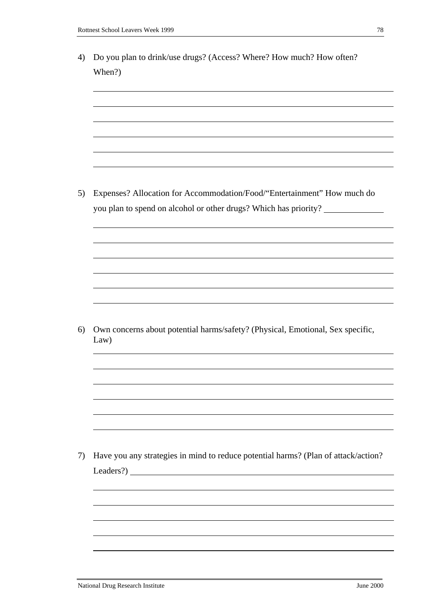| When?)                                                                                 |
|----------------------------------------------------------------------------------------|
|                                                                                        |
|                                                                                        |
|                                                                                        |
|                                                                                        |
|                                                                                        |
|                                                                                        |
|                                                                                        |
| Expenses? Allocation for Accommodation/Food/"Entertainment" How much do                |
| you plan to spend on alcohol or other drugs? Which has priority?                       |
|                                                                                        |
|                                                                                        |
|                                                                                        |
|                                                                                        |
|                                                                                        |
|                                                                                        |
|                                                                                        |
| Own concerns about potential harms/safety? (Physical, Emotional, Sex specific,<br>Law) |
|                                                                                        |
|                                                                                        |
|                                                                                        |
|                                                                                        |
|                                                                                        |
|                                                                                        |
|                                                                                        |
| Have you any strategies in mind to reduce potential harms? (Plan of attack/action?     |
|                                                                                        |
|                                                                                        |
|                                                                                        |
|                                                                                        |
|                                                                                        |
|                                                                                        |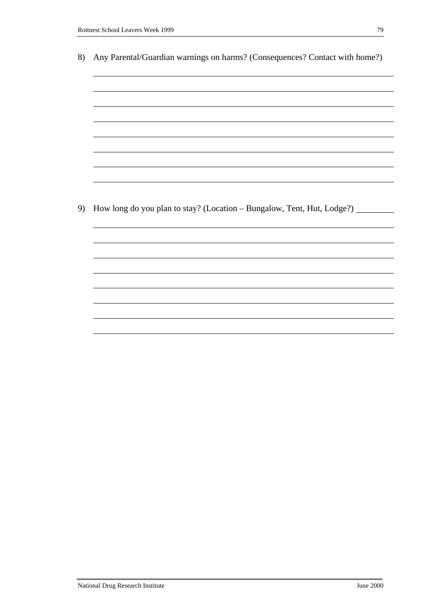| 8) | Any Parental/Guardian warnings on harms? (Consequences? Contact with home?)  |  |  |  |  |  |  |
|----|------------------------------------------------------------------------------|--|--|--|--|--|--|
|    |                                                                              |  |  |  |  |  |  |
|    |                                                                              |  |  |  |  |  |  |
|    |                                                                              |  |  |  |  |  |  |
|    |                                                                              |  |  |  |  |  |  |
|    |                                                                              |  |  |  |  |  |  |
|    |                                                                              |  |  |  |  |  |  |
|    |                                                                              |  |  |  |  |  |  |
|    |                                                                              |  |  |  |  |  |  |
|    |                                                                              |  |  |  |  |  |  |
| 9) | How long do you plan to stay? (Location - Bungalow, Tent, Hut, Lodge?) _____ |  |  |  |  |  |  |
|    |                                                                              |  |  |  |  |  |  |
|    |                                                                              |  |  |  |  |  |  |
|    |                                                                              |  |  |  |  |  |  |
|    |                                                                              |  |  |  |  |  |  |
|    |                                                                              |  |  |  |  |  |  |
|    |                                                                              |  |  |  |  |  |  |
|    |                                                                              |  |  |  |  |  |  |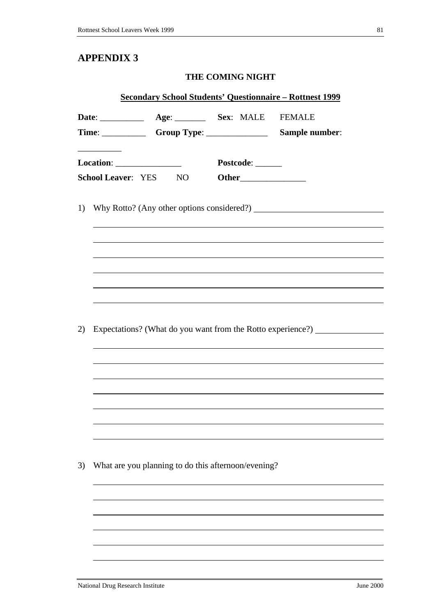## **THE COMING NIGHT**

|    | <b><u>Secondary School Students' Questionnaire - Rottnest 1999</u></b> |                                                          |                  |                                                                                  |  |  |
|----|------------------------------------------------------------------------|----------------------------------------------------------|------------------|----------------------------------------------------------------------------------|--|--|
|    |                                                                        | Date: ________________ Age: ___________ Sex: MALE FEMALE |                  |                                                                                  |  |  |
|    |                                                                        |                                                          |                  |                                                                                  |  |  |
|    |                                                                        |                                                          | Postcode: ______ |                                                                                  |  |  |
|    |                                                                        | <b>School Leaver:</b> YES NO                             |                  |                                                                                  |  |  |
|    |                                                                        |                                                          |                  |                                                                                  |  |  |
| 1) |                                                                        |                                                          |                  |                                                                                  |  |  |
|    |                                                                        |                                                          |                  |                                                                                  |  |  |
|    |                                                                        |                                                          |                  |                                                                                  |  |  |
|    |                                                                        |                                                          |                  |                                                                                  |  |  |
|    |                                                                        |                                                          |                  |                                                                                  |  |  |
|    |                                                                        |                                                          |                  |                                                                                  |  |  |
|    |                                                                        |                                                          |                  |                                                                                  |  |  |
|    |                                                                        |                                                          |                  |                                                                                  |  |  |
| 2) |                                                                        |                                                          |                  | Expectations? (What do you want from the Rotto experience?) ____________________ |  |  |
|    |                                                                        |                                                          |                  |                                                                                  |  |  |
|    |                                                                        |                                                          |                  |                                                                                  |  |  |
|    |                                                                        |                                                          |                  |                                                                                  |  |  |
|    |                                                                        |                                                          |                  |                                                                                  |  |  |
|    |                                                                        |                                                          |                  |                                                                                  |  |  |
|    |                                                                        |                                                          |                  |                                                                                  |  |  |
|    |                                                                        |                                                          |                  |                                                                                  |  |  |
|    |                                                                        |                                                          |                  |                                                                                  |  |  |
| 3) |                                                                        | What are you planning to do this afternoon/evening?      |                  |                                                                                  |  |  |
|    |                                                                        |                                                          |                  |                                                                                  |  |  |
|    |                                                                        |                                                          |                  |                                                                                  |  |  |
|    |                                                                        |                                                          |                  |                                                                                  |  |  |
|    |                                                                        |                                                          |                  |                                                                                  |  |  |
|    |                                                                        |                                                          |                  |                                                                                  |  |  |
|    |                                                                        |                                                          |                  |                                                                                  |  |  |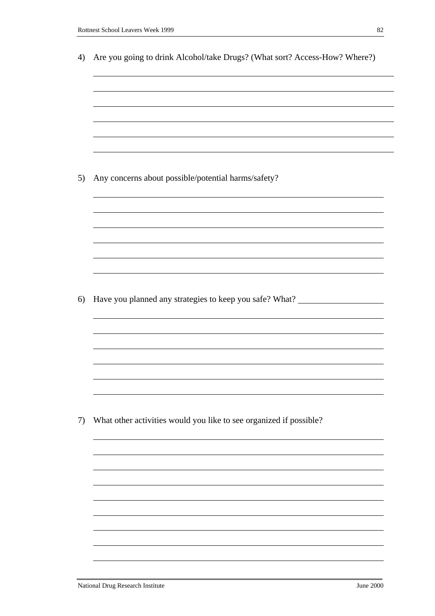| Are you going to drink Alcohol/take Drugs? (What sort? Access-How? Where?)       |
|----------------------------------------------------------------------------------|
|                                                                                  |
|                                                                                  |
|                                                                                  |
| Any concerns about possible/potential harms/safety?                              |
|                                                                                  |
|                                                                                  |
|                                                                                  |
|                                                                                  |
| Have you planned any strategies to keep you safe? What? ________________________ |
|                                                                                  |
|                                                                                  |
|                                                                                  |
| What other activities would you like to see organized if possible?               |
|                                                                                  |
|                                                                                  |
|                                                                                  |
|                                                                                  |
|                                                                                  |
|                                                                                  |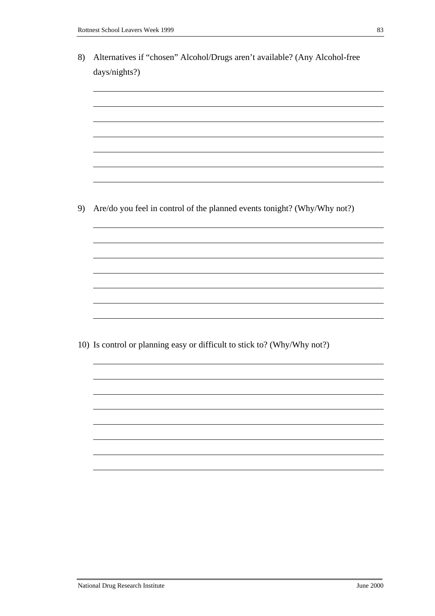8) Alternatives if "chosen" Alcohol/Drugs aren't available? (Any Alcohol-free days/nights?) 9) Are/do you feel in control of the planned events tonight? (Why/Why not?) 10) Is control or planning easy or difficult to stick to? (Why/Why not?)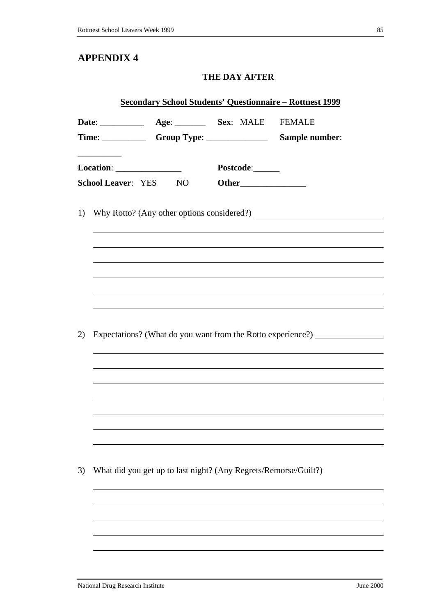## **THE DAY AFTER**

| <b>Secondary School Students' Questionnaire - Rottnest 1999</b> |                           |                                                                                                                                               |                 |                                                             |  |
|-----------------------------------------------------------------|---------------------------|-----------------------------------------------------------------------------------------------------------------------------------------------|-----------------|-------------------------------------------------------------|--|
|                                                                 |                           | Date: _________________ Age: ___________ Sex: MALE FEMALE<br>Time: _________________Group Type: _______________________________Sample number: |                 |                                                             |  |
|                                                                 | <b>School Leaver: YES</b> | Location: ___________________<br>NO                                                                                                           | Postcode:______ |                                                             |  |
| 1)                                                              |                           |                                                                                                                                               |                 |                                                             |  |
|                                                                 |                           |                                                                                                                                               |                 |                                                             |  |
|                                                                 |                           |                                                                                                                                               |                 |                                                             |  |
| 2)                                                              |                           |                                                                                                                                               |                 | Expectations? (What do you want from the Rotto experience?) |  |
|                                                                 |                           |                                                                                                                                               |                 |                                                             |  |
|                                                                 |                           |                                                                                                                                               |                 |                                                             |  |
| 3)                                                              |                           | What did you get up to last night? (Any Regrets/Remorse/Guilt?)                                                                               |                 |                                                             |  |
|                                                                 |                           |                                                                                                                                               |                 |                                                             |  |
|                                                                 |                           |                                                                                                                                               |                 |                                                             |  |
|                                                                 |                           |                                                                                                                                               |                 |                                                             |  |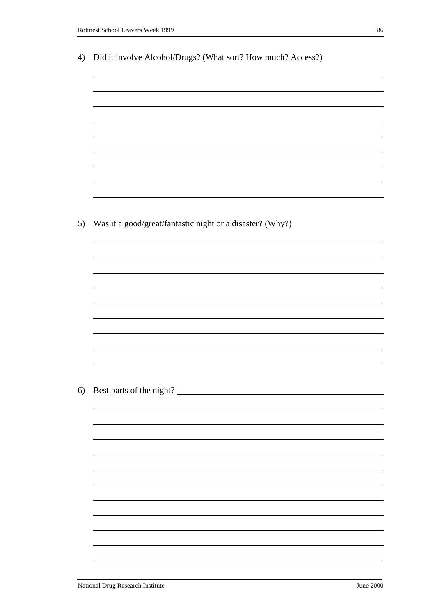| 4) | Did it involve Alcohol/Drugs? (What sort? How much? Access?) |
|----|--------------------------------------------------------------|
|    |                                                              |
|    |                                                              |
|    |                                                              |
|    |                                                              |
|    |                                                              |
|    |                                                              |
|    |                                                              |
|    |                                                              |
|    |                                                              |
|    |                                                              |
| 5) | Was it a good/great/fantastic night or a disaster? (Why?)    |
|    |                                                              |
|    |                                                              |
|    |                                                              |
|    |                                                              |
|    |                                                              |
|    |                                                              |
|    |                                                              |
|    |                                                              |
|    |                                                              |
| 6) | Best parts of the night?                                     |
|    |                                                              |
|    |                                                              |
|    |                                                              |
|    |                                                              |
|    |                                                              |
|    |                                                              |
|    |                                                              |
|    |                                                              |
|    |                                                              |
|    |                                                              |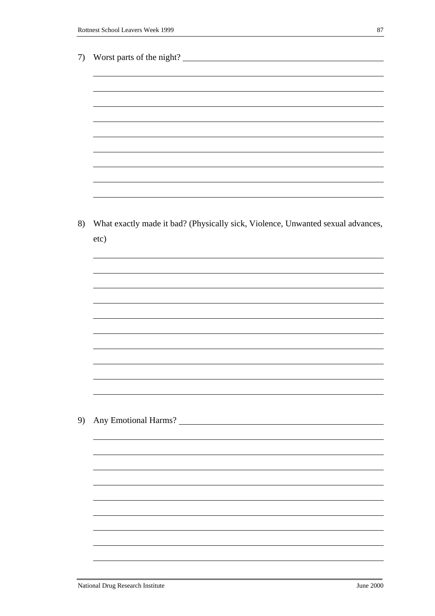| 7) | Worst parts of the night?                                                       |
|----|---------------------------------------------------------------------------------|
|    |                                                                                 |
|    |                                                                                 |
|    |                                                                                 |
|    |                                                                                 |
|    |                                                                                 |
|    |                                                                                 |
|    |                                                                                 |
|    |                                                                                 |
|    |                                                                                 |
|    |                                                                                 |
|    |                                                                                 |
|    |                                                                                 |
|    |                                                                                 |
|    |                                                                                 |
| 8) | What exactly made it bad? (Physically sick, Violence, Unwanted sexual advances, |
|    | etc)                                                                            |
|    |                                                                                 |
|    |                                                                                 |
|    |                                                                                 |
|    |                                                                                 |
|    |                                                                                 |
|    |                                                                                 |
|    |                                                                                 |
|    |                                                                                 |
|    |                                                                                 |
|    |                                                                                 |
|    |                                                                                 |
|    |                                                                                 |
|    |                                                                                 |
|    |                                                                                 |
|    |                                                                                 |
| 9) |                                                                                 |
|    |                                                                                 |
|    |                                                                                 |
|    |                                                                                 |
|    |                                                                                 |
|    |                                                                                 |
|    |                                                                                 |
|    |                                                                                 |
|    |                                                                                 |
|    |                                                                                 |
|    |                                                                                 |
|    |                                                                                 |
|    |                                                                                 |
|    |                                                                                 |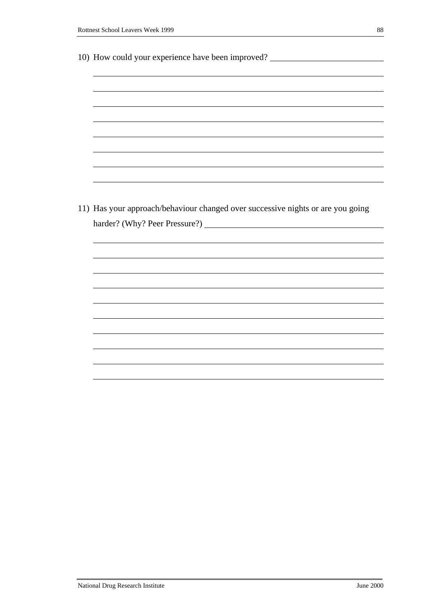|  |  | 10) How could your experience have been improved? |  |  |  |
|--|--|---------------------------------------------------|--|--|--|
|  |  |                                                   |  |  |  |

11) Has your approach/behaviour changed over successive nights or are you going harder? (Why? Peer Pressure?)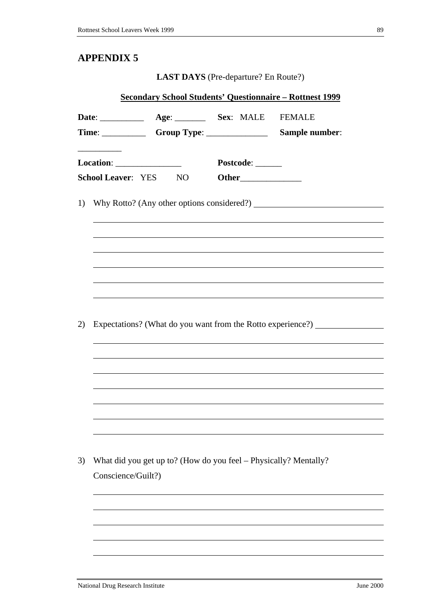**LAST DAYS** (Pre-departure? En Route?)

| <b><u>Secondary School Students' Questionnaire - Rottnest 1999</u></b> |                           |                                                                  |                  |                                                                                  |  |
|------------------------------------------------------------------------|---------------------------|------------------------------------------------------------------|------------------|----------------------------------------------------------------------------------|--|
|                                                                        |                           | Date: _________________ Age: ___________ Sex: MALE FEMALE        |                  |                                                                                  |  |
|                                                                        | <b>School Leaver: YES</b> | NO <sub>1</sub>                                                  | Postcode: ______ |                                                                                  |  |
| 1)                                                                     |                           |                                                                  |                  |                                                                                  |  |
|                                                                        |                           |                                                                  |                  |                                                                                  |  |
|                                                                        |                           |                                                                  |                  |                                                                                  |  |
| 2)                                                                     |                           |                                                                  |                  | Expectations? (What do you want from the Rotto experience?) ____________________ |  |
|                                                                        |                           |                                                                  |                  |                                                                                  |  |
|                                                                        |                           |                                                                  |                  |                                                                                  |  |
|                                                                        |                           |                                                                  |                  |                                                                                  |  |
| 3)                                                                     | Conscience/Guilt?)        | What did you get up to? (How do you feel – Physically? Mentally? |                  |                                                                                  |  |
|                                                                        |                           |                                                                  |                  |                                                                                  |  |
|                                                                        |                           |                                                                  |                  |                                                                                  |  |
|                                                                        |                           |                                                                  |                  |                                                                                  |  |
|                                                                        |                           |                                                                  |                  |                                                                                  |  |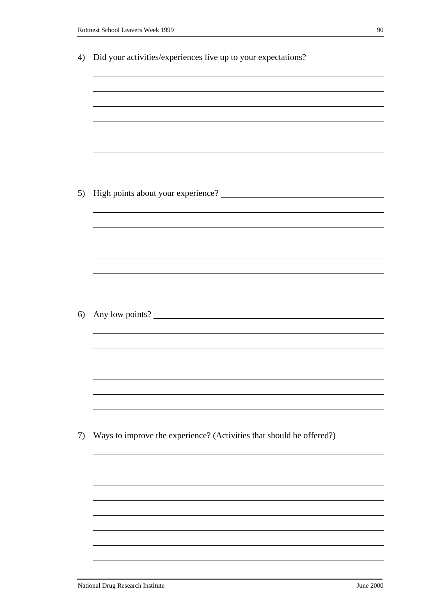| ۰, | ۰. |
|----|----|
|    |    |
|    | I  |
|    |    |
|    |    |
| ۰. | I  |
| ٧  |    |
| v  | ٩  |
|    |    |

| 4) | Did your activities/experiences live up to your expectations?        |
|----|----------------------------------------------------------------------|
|    |                                                                      |
|    |                                                                      |
|    |                                                                      |
|    |                                                                      |
|    |                                                                      |
|    |                                                                      |
|    |                                                                      |
|    |                                                                      |
| 5) |                                                                      |
|    |                                                                      |
|    |                                                                      |
|    |                                                                      |
|    |                                                                      |
|    |                                                                      |
|    |                                                                      |
|    |                                                                      |
| 6) | Any low points?                                                      |
|    |                                                                      |
|    |                                                                      |
|    |                                                                      |
|    |                                                                      |
|    |                                                                      |
|    |                                                                      |
|    |                                                                      |
| 7) | Ways to improve the experience? (Activities that should be offered?) |
|    |                                                                      |
|    |                                                                      |
|    |                                                                      |
|    |                                                                      |
|    |                                                                      |
|    |                                                                      |
|    |                                                                      |
|    |                                                                      |
|    |                                                                      |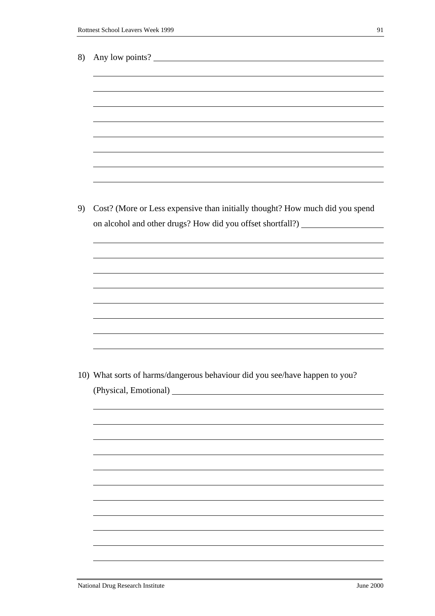| 8) | Any low points?                                                                                                                                                  |
|----|------------------------------------------------------------------------------------------------------------------------------------------------------------------|
|    |                                                                                                                                                                  |
|    |                                                                                                                                                                  |
|    |                                                                                                                                                                  |
|    |                                                                                                                                                                  |
|    |                                                                                                                                                                  |
|    |                                                                                                                                                                  |
|    |                                                                                                                                                                  |
|    |                                                                                                                                                                  |
| 9) | Cost? (More or Less expensive than initially thought? How much did you spend<br>on alcohol and other drugs? How did you offset shortfall?) _____________________ |
|    |                                                                                                                                                                  |
|    |                                                                                                                                                                  |
|    |                                                                                                                                                                  |
|    |                                                                                                                                                                  |
|    |                                                                                                                                                                  |
|    |                                                                                                                                                                  |
|    |                                                                                                                                                                  |
|    |                                                                                                                                                                  |
|    | 10) What sorts of harms/dangerous behaviour did you see/have happen to you?                                                                                      |
|    |                                                                                                                                                                  |
|    |                                                                                                                                                                  |
|    |                                                                                                                                                                  |
|    |                                                                                                                                                                  |
|    |                                                                                                                                                                  |
|    |                                                                                                                                                                  |
|    |                                                                                                                                                                  |
|    |                                                                                                                                                                  |
|    |                                                                                                                                                                  |
|    |                                                                                                                                                                  |